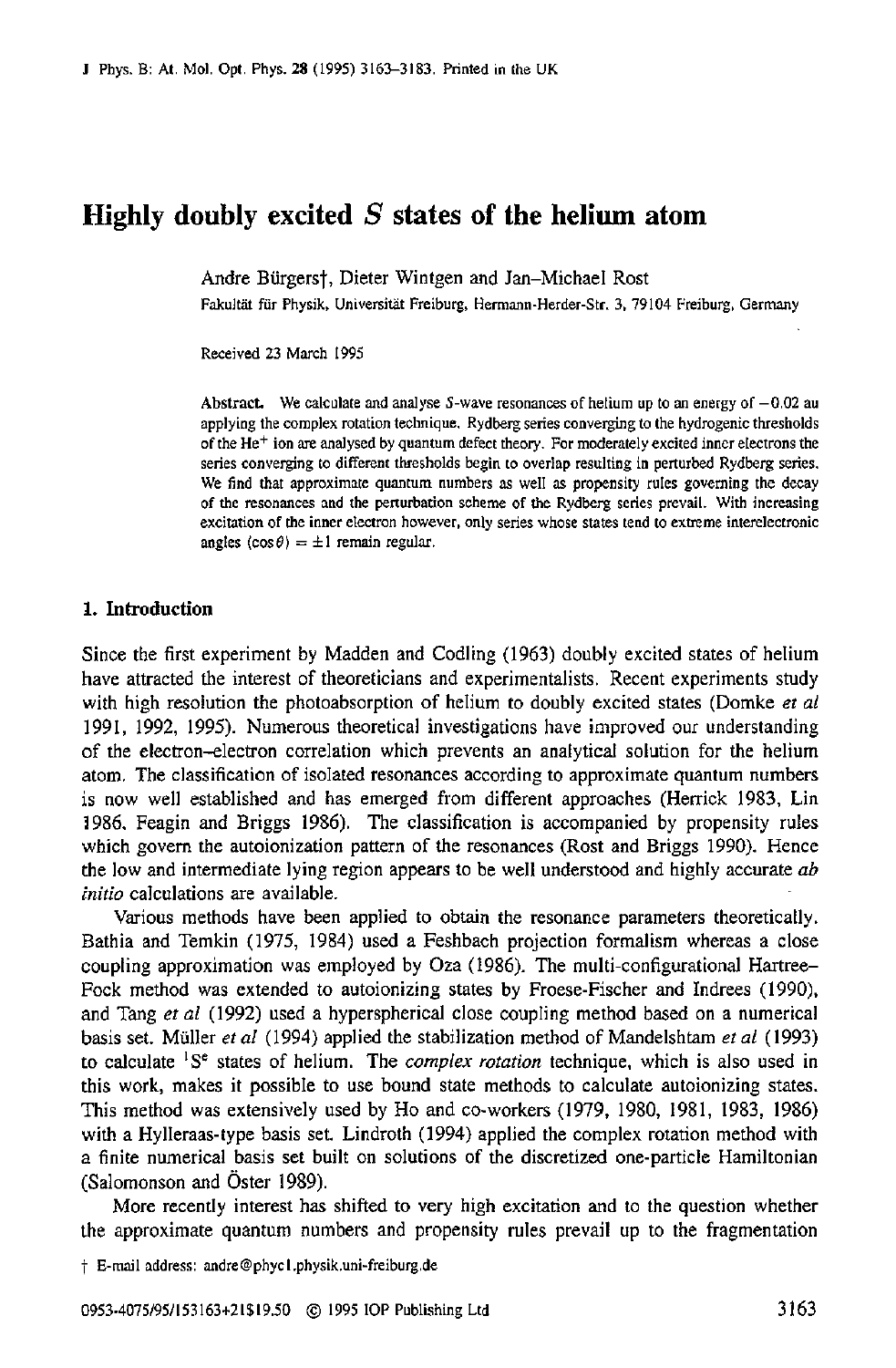# **Highly doubly excited** S **states of the helium atom**

Andre Bürgers†, Dieter Wintgen and Jan-Michael Rost

Fakultät für Physik, Universität Freiburg, Hermann-Herder-Str. 3, 79104 Freiburg, Germany

Received 23 March 1995

Abstract. We calculate and analyse  $S$ -wave resonances of helium up to an energy of  $-0.02$  au applying the complex rotation technique. Rydberg series converging to the hydrogenic thresholds of the Het ion **are** analysed by quantum defect theory. For moderately excited inner electrons the series converging to different thresholds begin to overlap resulting **in** perturbed Rydberg series. We find that approximate quantum numbers **as** well **as** propensity rules governing the decay of **the** resonances and the perturbation scheme of the Rydberg aeries prevail. With increasing excitation of the inner electron however, only series whose states tend to extreme interelectronic angles  $(\cos \theta) = \pm 1$  remain regular.

# **1. Introduction**

Since the first experiment by Madden and Codling (1963) doubly excited states of helium have attracted the interest of theoreticians and experimentalists. Recent experiments study with high resolution the photoabsorption of helium to doubly excited states (Domke **et** *al*  1991, 1992, 1995). Numerous theoretical investigations have improved our understanding of the electron-electron correlation which prevents an analytical solution for the helium atom. The classification of isolated resonances according to approximate quantum numbers is now well established and has emerged from different approaches (Herrick 1983, Lin 1986. Feagin and Briggs 1986). The classification is accompanied by propensity rules which govern the autoionization pattern of the resonances (Rost and Briggs 1990). Hence the low and intermediate lying region appears to be well understood and highly accurate *ab*  **initio** calculations are available.

Various methods have been applied to obtain the resonance parameters theoretically. Bathia and Temkin (1975, 1984) *used* a Feshbach projection formalism whereas a close coupling approximation was employed by Oza (1986). The multi-configurational Hartree-Fock method was extended to autoionizing states by Froese-Fischer and Indrees (1990). and Tang **et** *ai* (1992) used a hyperspherical close coupling method based on a numerical basis set. Muller **er** *ai* (1994) applied the stabilization method of Mandelshtam **et** *al* (1993) to calculate **'Se** states of helium. The *complex rotation* technique, which is also used in this work, makes it possible to use bound state methods to calculate autoionizing states. This method was extensively used by Ho and co-workers (1979, 1980, 1981, 1983, 1986) with a Hylleraas-type basis set. Lindroth (1994) applied the complex rotation method with a finite numerical basis set built on solutions of the discretized one-particle Hamiltonian (Salomonson and Oster 1989).

More recently interest has shifted to very high excitation and to the question whether the approximate quantum numbers and propensity rules prevail up to the fragmentation

t E-mail address: andre@phycl .physik.uni-freiburg.de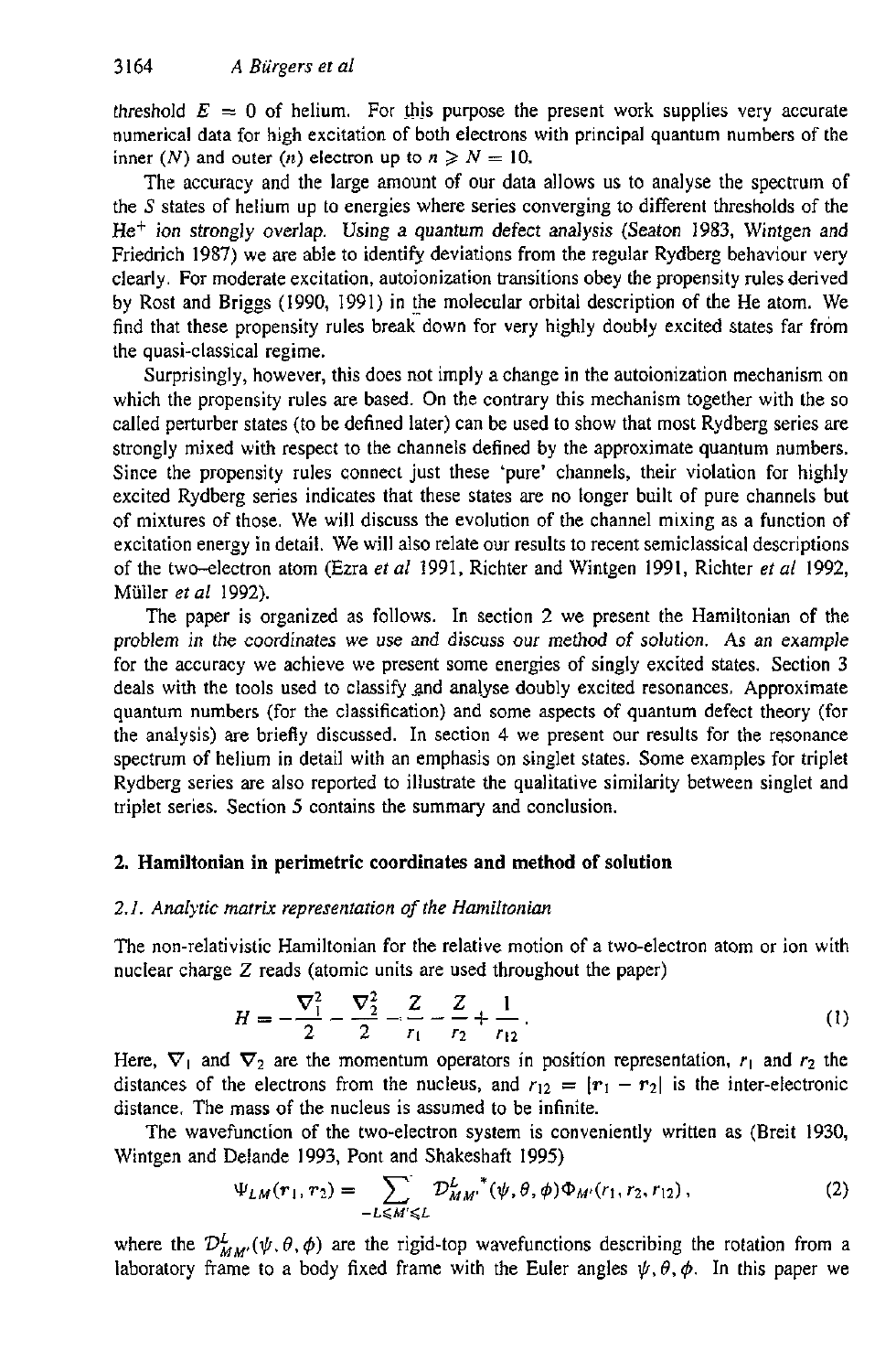threshold  $E = 0$  of helium. For this purpose the present work supplies very accurate numerical data for high excitation of both electrons with principal quantum numbers of the inner *(N)* and outer *(n)* electron up to  $n \ge N = 10$ .

The accuracy and the large amount of our data allows us to analyse the spectrum of the **S** states of helium up to energies where series converging to different thresholds of the  $He<sup>+</sup>$  ion strongly overlap. Using a quantum defect analysis (Seaton 1983, Wintgen and Friedrich 1987) we are able to identify deviations from the regular Rydberg behaviour very clearly. For moderate excitation, autoionization transitions obey the propensity rules derived by Rost and Briggs (1990, 1991) in the molecular orbital description of the He atom. We find that these propensity rules break down for very highly doubly excited states far from the quasi-classical regime.

Surprisingly, however, this does not imply a change in the autoionization mechanism on which the propensity rules are based. **On** the contrary this mechanism together with the so called perturber states (to be defined later) can be used to show that most Rydberg series are strongly mixed with respect to the channels defined by the approximate quantum numbers. Since the propensity rules connect just these 'pure' channels, their violation for highly excited Rydberg series indicates that these states are no longer built of pure channels but of mixtures of those. We will discuss the evolution of the channel mixing as a function **of**  excitation energy in detail. We will also relate our results to recent semiclassical descriptions of the two-electron atom (Ezra *et al* 1991, Richter and Wintgen 1991, Richter *et al* 1992, Muller *et al* 1992).

The paper is organized as follows. In section 2 we present the Hamiltonian of the problem in *the* coordinates we use and discuss our method of solution. **As** an example for the accuracy we achieve we present some energies of singly excited states. Section 3 deals with the tools used to classify and analyse doubly excited resonances. Approximate quantum numbers (for the classification) and some aspects of quantum defect theory (for the analysis) are briefly discussed. In section **4** we present our results for the resonance spectrum of helium in detail with an emphasis on singlet states. Some examples for triplet Rydberg series are also reported to illustrate the qualitative similarity between singlet and triplet series. Section **5** contains the summary and conclusion.

# **2. Hamiltonian in perimetric coordinates and method of solution**

# *2.1. Analytic matrix representation* of *the Hamiltonian*

The non-relativistic Hamiltonian for the relative motion of a two-electron atom or ion with nuclear charge Z reads (atomic units are used throughout the paper)

$$
H = -\frac{\nabla_1^2}{2} - \frac{\nabla_2^2}{2} - \frac{Z}{r_1} - \frac{Z}{r_2} + \frac{1}{r_{12}}.
$$
 (1)

Here,  $\nabla_1$  and  $\nabla_2$  are the momentum operators in position representation,  $r_1$  and  $r_2$  the distances of the electrons from the nucleus, and  $r_{12} = |r_1 - r_2|$  is the inter-electronic distance. The mass **of** the nucleus is assumed to be infinite.

The wavefunction of the two-electron system is conveniently written as (Breit 1930, Wintgen and Delande 1993, Pont and Shakeshaft 1995)

$$
\Psi_{LM}(r_1, r_2) = \sum_{-L \le M' \le L} D_{MM'}^{L''}(\psi, \theta, \phi) \Phi_{M'}(r_1, r_2, r_{12}), \qquad (2)
$$

where the  $\mathcal{D}_{MM'}^L(\psi,\theta,\phi)$  are the rigid-top wavefunctions describing the rotation from a laboratory frame to a body fixed frame with the Euler angles  $\psi$ ,  $\theta$ ,  $\phi$ . In this paper we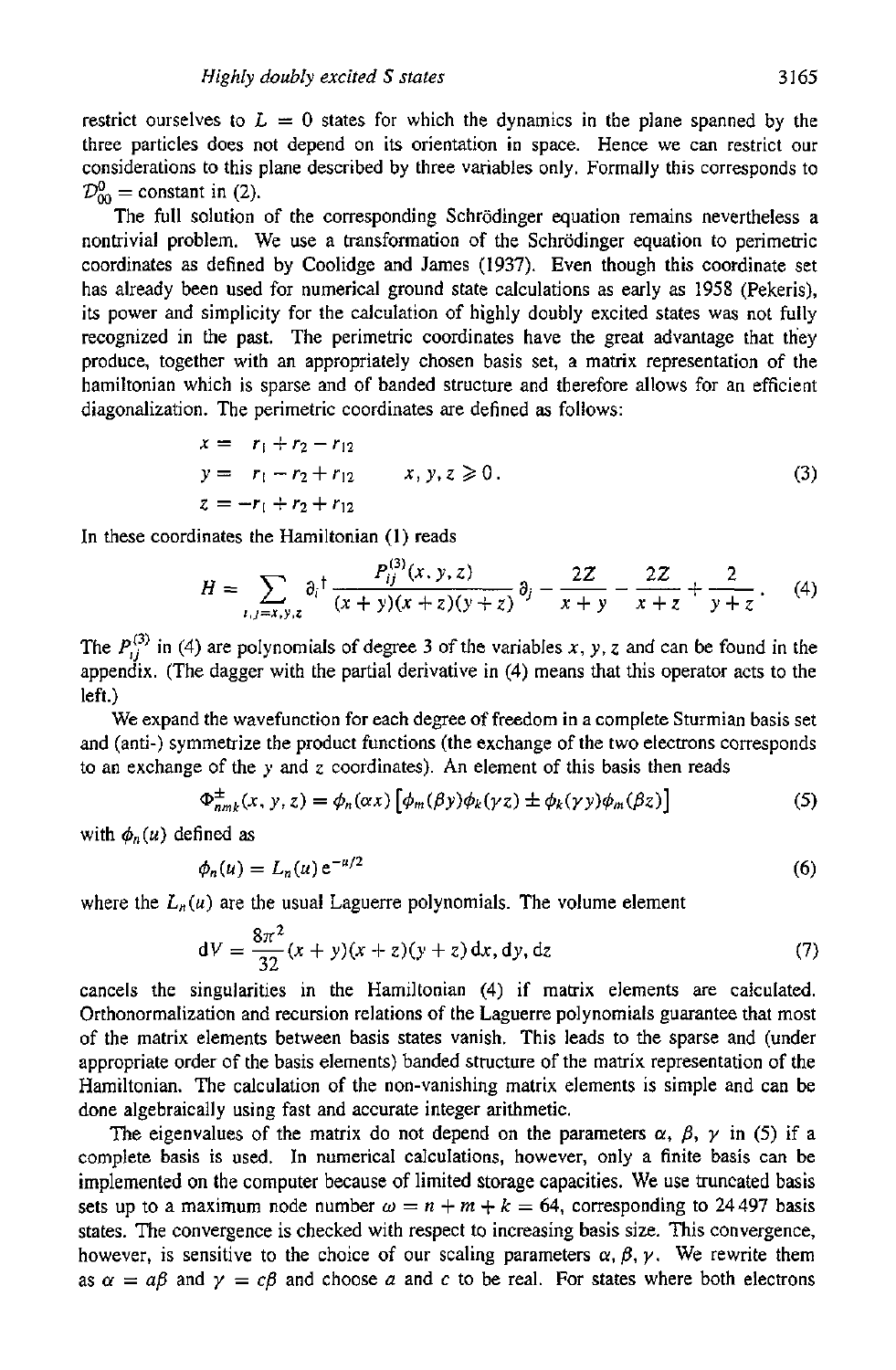restrict ourselves to  $L = 0$  states for which the dynamics in the plane spanned by the three particles does not depend on its orientation in space. Hence we can restrict our considerations to this plane described by three variables only. Formally this corresponds to  $\mathcal{D}_{\infty}^{0}$  = constant in (2).

The full solution of the corresponding Schrödinger equation remains nevertheless a nontrivial problem. We use a transformation of the Schrödinger equation to perimetric coordinates as defined by Coolidge and James (1937). Even though this coordinate set has already been used for numerical ground state calculations as early as 1958 (Pekeris), its power and simplicity for the calculation of highly doubly excited states was not fully recognized in the past. The perimetric coordinates have the great advantage that they produce, together with an appropriately chosen basis set, a matrix representation of the hamiltonian which is sparse and of banded structure and therefore allows for an efficient diagonalization. The perimetric coordinates are defined as follows:

$$
x = r_1 + r_2 - r_{12}
$$
  
\n
$$
y = r_1 - r_2 + r_{12}
$$
  
\n
$$
z = -r_1 + r_2 + r_{12}
$$
  
\n(3)

In these coordinates the Hamiltonian (1) reads

$$
H = \sum_{i,j=x,y,z} \partial_i{}^{\dagger} \frac{P_{ij}^{(3)}(x,y,z)}{(x+y)(x+z)(y+z)} \partial_j - \frac{2Z}{x+y} - \frac{2Z}{x+z} + \frac{2}{y+z} \,. \tag{4}
$$

The  $P_{i}^{(3)}$  in (4) are polynomials of degree 3 of the variables *x*, *y*, *z* and can be found in the appendix. (The dagger with the partial derivative in (4) means that this operator acts to the left.)

We expand the wavefunction for each degree **of** freedom in a complete Sturmian basis set and (anti-) symmetrize the product functions (the exchange of the two electrons corresponds to an exchange of the *y* and z coordinates). **An** element of this basis then reads

$$
\Phi_{nmk}^{\pm}(x, y, z) = \phi_n(\alpha x) \left[ \phi_m(\beta y) \phi_k(\gamma z) \pm \phi_k(\gamma y) \phi_m(\beta z) \right]
$$
 (5)

with  $\phi_n(u)$  defined as

$$
\phi_n(u) = L_n(u) e^{-u/2} \tag{6}
$$

where the  $L_n(u)$  are the usual Laguerre polynomials. The volume element

$$
dV = \frac{8\pi^2}{32}(x+y)(x+z)(y+z) dx, dy, dz
$$
 (7)

cancels the singularities in the Hamiltonian **(4)** if matrix elements are calculated. Orthonormalization and recursion relations of the Laguerre polynomials guarantee that most of the matrix elements between basis states vanish. This leads to the sparse and (under appropriate order of the basis elements) banded structure of the matrix representation of the Hamiltonian. The calculation of the non-vanishing matrix elements is simple and can be done algebraically using fast and accurate integer arithmetic.

The eigenvalues of the matrix do not depend on the parameters  $\alpha$ ,  $\beta$ ,  $\gamma$  in (5) if a complete basis **is** *used.* In numerical calculations, however, only a finite basis can be implemented on the computer because of limited storage capacities. We use truncated basis sets up to a maximum node number  $\omega = n + m + k = 64$ , corresponding to 24497 basis states. The convergence is checked with respect to increasing basis size. This convergence, however, is sensitive to the choice of our scaling parameters  $\alpha$ ,  $\beta$ ,  $\gamma$ . We rewrite them as  $\alpha = a\beta$  and  $\gamma = c\beta$  and choose *a* and *c* to be real. For states where both electrons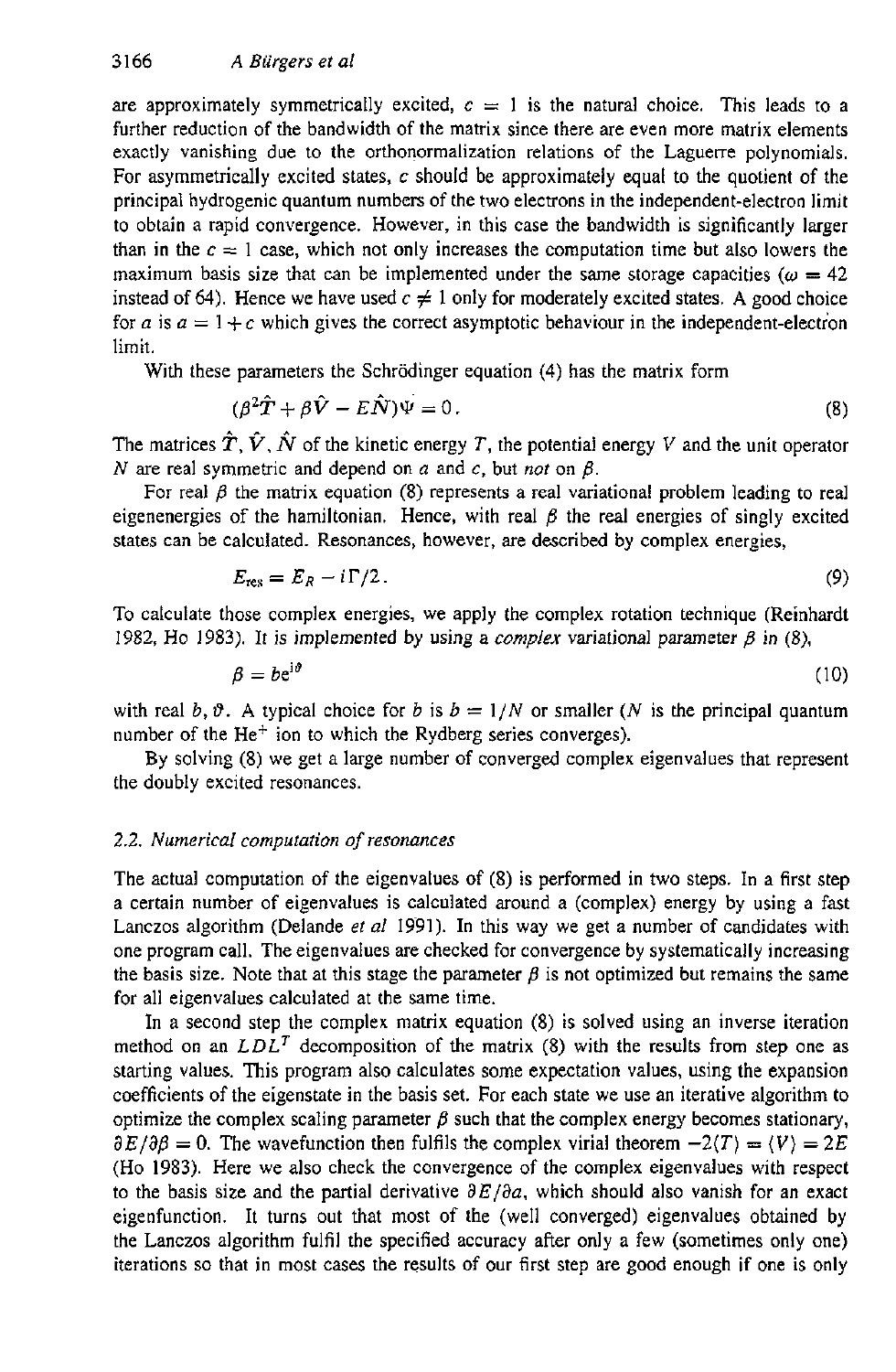are approximately symmetrically excited,  $c=1$  is the natural choice. This leads to a further reduction of the bandwidth of the matrix since there are even more matrix elements exactly vanishing due to the orthonormalization relations of the Laguerre polynomials. For asymmetrically excited states, *c* should be approximately equal to the quotient of the principal hydrogenic quantum numbers of the two electrons in the independent-electron limit to obtain a rapid convergence. However, in this case the bandwidth is significantly larger than in the  $c = 1$  case, which not only increases the computation time but also lowers the maximum basis size that can be implemented under the same storage capacities  $(\omega = 42)$ instead of 64). Hence we have used  $c \neq 1$  only for moderately excited states. A good choice for *a* is  $a = 1 + c$  which gives the correct asymptotic behaviour in the independent-electron limit.

With these parameters the Schrodinger equation **(4)** has the matrix form

$$
(\beta^2 \hat{T} + \beta \hat{V} - E \hat{N}) \Psi = 0.
$$
 (8)

The matrices  $\hat{T}$ ,  $\hat{V}$ ,  $\hat{N}$  of the kinetic energy *T*, the potential energy *V* and the unit operator  $N$  are real symmetric and depend on  $a$  and  $c$ , but *not* on  $\beta$ .

For real  $\beta$  the matrix equation (8) represents a real variational problem leading to real eigenenergies of the hamiltonian. Hence, with real  $\beta$  the real energies of singly excited states can be calculated. Resonances, however, are described by complex energies,

$$
E_{\rm res} = E_R - i\,\Gamma/2\,. \tag{9}
$$

To calculate those complex energies, we apply the complex rotation technique (Reinhardt 1982, Ho 1983). It is implemented by using a *complex* variational parameter  $\beta$  in (8),

$$
\beta = b e^{i\theta} \tag{10}
$$

with real *b*,  $\vartheta$ . A typical choice for *b* is  $b = 1/N$  or smaller (*N* is the principal quantum number of the  $He<sup>+</sup>$  ion to which the Rydberg series converges).

By solving **(8)** we get a large number of converged complex eigenvalues that represent the doubly excited resonances.

# *2.2. Numerical computation of resonances*

The actual computation of the eigenvalues of (8) is performed in two steps. In a first step a certain number of eigenvalues is calculated around a (complex) energy by using a fast Lanczos algorithm (Delande *er a1* 1991). In this way we get a number of candidates with one program call. The eigenvalues are checked for convergence by systematically increasing the basis size. Note that at this stage the parameter  $\beta$  is not optimized but remains the same for all eigenvalues calculated at the same time.

In a second step the complex matrix equation **(8)** is solved using an inverse iteration method on an  $LDL<sup>T</sup>$  decomposition of the matrix (8) with the results from step one as starting values. This program also calculates some expectation values, using the expansion coefficients of the eigenstate in the basis set. For each state we use an iterative algorithm to optimize the complex scaling parameter  $\beta$  such that the complex energy becomes stationary,  $\partial E/\partial \beta = 0$ . The wavefunction then fulfils the complex virial theorem  $-2\langle T \rangle = \langle V \rangle = 2E$ (Ho **1983).** Here we also check the convergence of the complex eigenvalues with respect to the basis size and the partial derivative  $\partial E/\partial a$ , which should also vanish for an exact eigenfunction. It turns out that most of the (well converged) eigenvalues obtained **by**  the Lanczos algorithm fulfil the specified accuracy after only a few (sometimes only one) iterations so that in most cases the results of our first step are good enough if one is only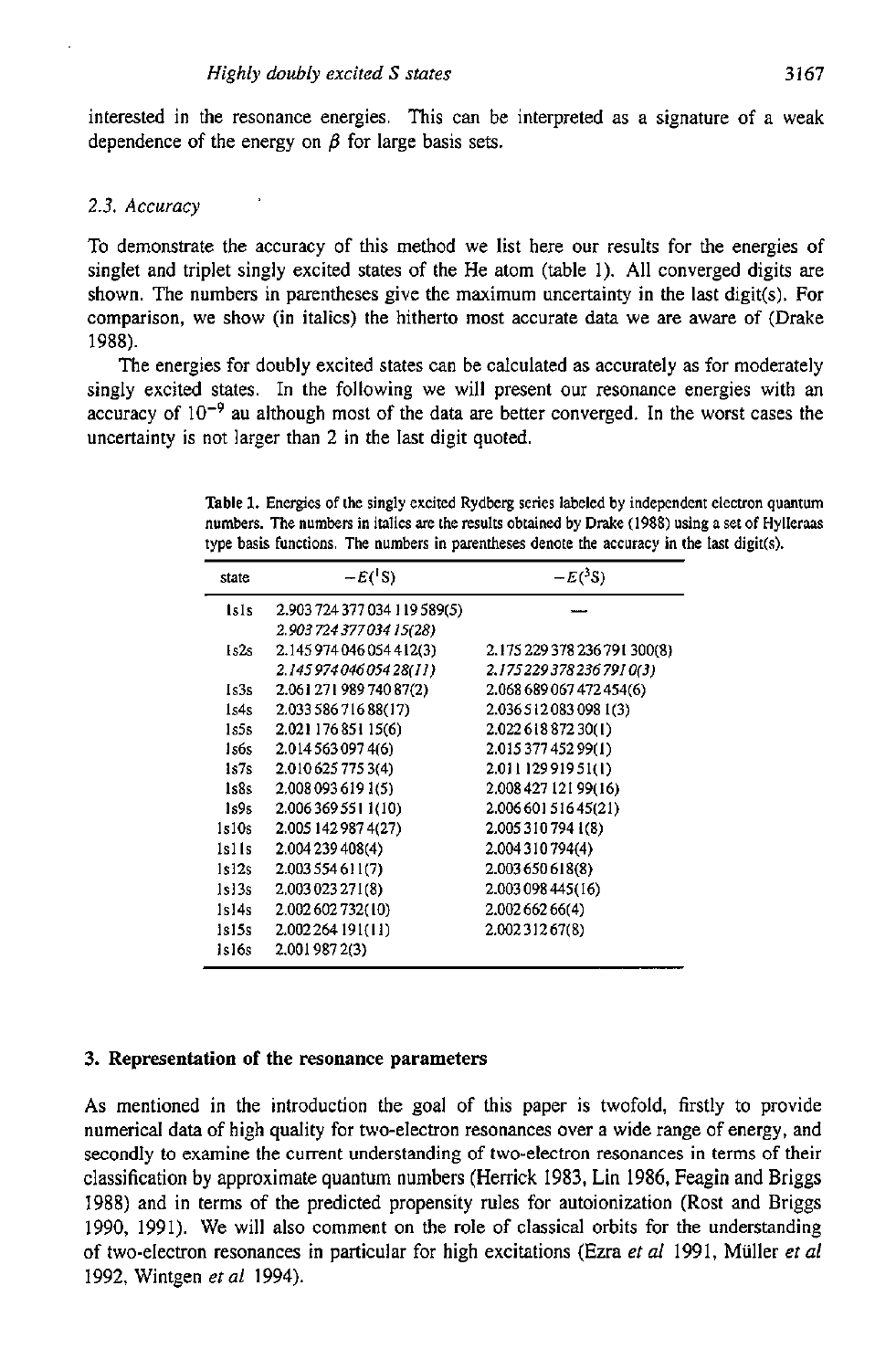interested in the resonance energies. This can be interpreted as a signature of a weak dependence of the energy on  $\beta$  for large basis sets.

#### *2.3. Accuracy*

To demonstrate the accuracy of this method we list here our results for the energies of singlet and triplet singly excited states of the He atom (table I). **All** converged digits are shown. The numbers in parentheses give the maximum uncertainty in the last digit(s). For comparison, we show (in italics) the hitherto most accurate data we are aware of (Drake 1988).

The energies for doubly excited states can be calculated **as** accurately as for moderately singly excited states. In the following we will present our resonance energies with an accuracy of  $10^{-9}$  au although most of the data are better converged. In the worst cases the uncertainty is not larger than 2 in the last digit quoted.

**Table 1. Energies** of **the singly excited Rydberg series labeled by independent electron quantum numbers. The numbers in italics are the results obtained by Drake (1988) using a set of Hylleras**  type basis functions. The numbers in parentheses denote the accuracy in the last digit(s).

| state       | $-E({}^{\dagger}S)$          | $-E(^3S)$                    |
|-------------|------------------------------|------------------------------|
| <i>isis</i> | 2.903 724 377 034 119 589(5) |                              |
|             | 2.903 724 377 034 15(28)     |                              |
| 1s2s        | 2.145 974 046 054 412(3)     | 2.175 229 378 236 791 300(8) |
|             | 2.145 974 046 054 28(11)     | 2.1752293782367910(3)        |
| Is 3s       | 2.061 271 989 740 87(2)      | 2.068 689 067 472 454(6)     |
| ls4s        | 2.033 586 716 88(17)         | 2.0365120830981(3)           |
| ls5s i      | 2.021 176 851 15(6)          | 2.022 618 872 30(1)          |
| ls6s        | 2.014 563 097 4(6)           | 2.015 377 452 99(1)          |
| 1s 7s       | 2.010 625 775 3(4)           | 2.011 129 919 51(1)          |
| 1s8s        | 2.008 093 619 1(5)           | 2,008 427 121 99(16)         |
| Is9s        | 2.006 369 551 1(10)          | 2.00660151645(21)            |
| ls l Os     | 2.005 142 987 4(27)          | 2.0053107941(8)              |
| islis       | 2.004 239 408(4)             | 2.004310794(4)               |
| ls 12s      | 2.003 554 611(7)             | 2.003650618(8)               |
| 1s13s       | 2,003 023 271(8)             | 2.003 098 445 (16)           |
| 1s14s       | 2.002 602 732(10)            | 2.002 662 66(4)              |
| 1s15s       | 2,002 264 191(11)            | 2.00231267(8)                |
| 1s16s       | 2.001 987 2(3)               |                              |

#### **3. Representation of the** resonance parameters

**As** mentioned in the introduction the goal of this paper is twofold, firstly to provide numerical data of high quality for two-electron resonances over a wide range of energy, and secondly to examine the current understanding of two-electron resonances in terms of their classification by approximate quantum numbers (Herrick 1983, Lin 1986, Feagin and Briggs 1988) and in terms of the predicted propensity rules for autoionization (Rost and Briggs 1990, 1991). We will also comment on the role of classical orbits for the understanding of two-electron resonances in particular for high excitations (Ezra *et al* 1991, Muller *et a[*  1992, Wintgen *er al* 1994).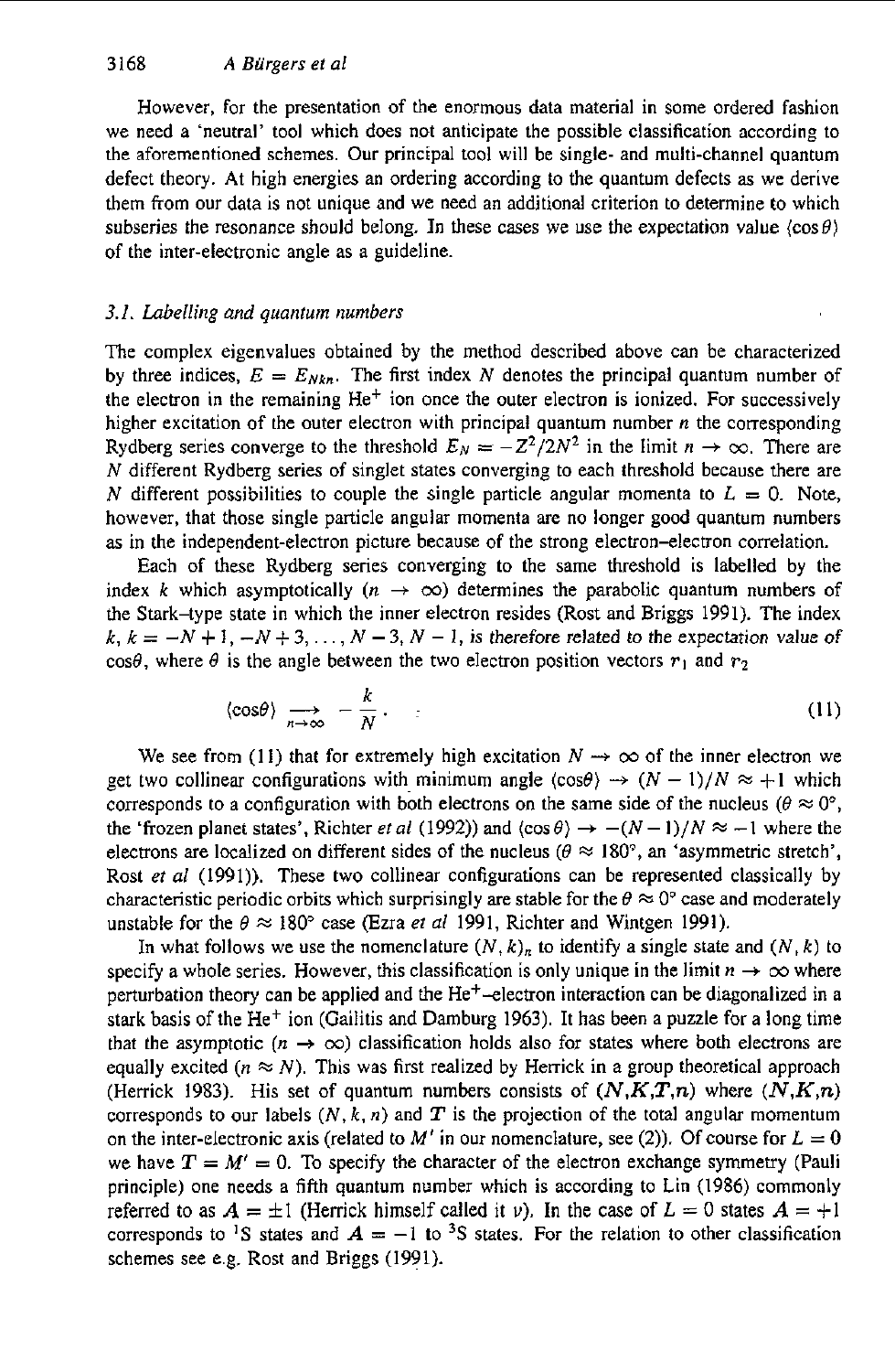However, for the presentation of the enormous data material in some ordered fashion we need a 'neutral' tool which does not anticipate the possible classification according to the aforementioned schemes. Our principal tool will be single- and multi-channel quantum defect theory. At high energies an ordering according to the quantum defects **as** we derive them from our data is not unique and we need an additional criterion to determine *to* which subseries the resonance should belong. In these cases we use the expectation value  $\langle \cos \theta \rangle$ of the inter-electronic angle as a guideline.

# *3.1. Labelling and quantum numbers*

The complex eigenvalues obtained by the method described above can be characterized by three indices,  $E = E_{Nkn}$ . The first index *N* denotes the principal quantum number of the electron in the remaining  $He<sup>+</sup>$  ion once the outer electron is ionized. For successively higher excitation of the outer electron with principal quantum number *n* the corresponding Rydberg series converge to the threshold  $E_N = -Z^2/2N^2$  in the limit  $n \to \infty$ . There are *N* different Rydberg series of singlet states converging to each threshold because there are *N* different possibilities to couple the single particle angular momenta to  $L = 0$ . Note, however, that those single particle angular momenta are no longer good quantum numbers **as** in the independent-electron picture because of the strong electron-electron correlation.

Each of these Rydberg series converging to the same threshold is labelled by the index *k* which asymptotically  $(n \to \infty)$  determines the parabolic quantum numbers of the Stark-type state in which the inner electron resides (Rost and Briggs 1991). The index  $k, k = -N + 1, -N + 3, \ldots, N - 3, N - 1$ , is therefore related to the expectation value of cos $\theta$ , where  $\theta$  is the angle between the two electron position vectors  $r_1$  and  $r_2$ 

$$
\langle \cos \theta \rangle \xrightarrow[n \to \infty]{} -\frac{k}{N}.
$$
 (11)

We see from (11) that for extremely high excitation  $N \rightarrow \infty$  of the inner electron we get two collinear configurations with minimum angle  $\langle \cos \theta \rangle \rightarrow (N-1)/N \approx +1$  which corresponds to a configuration with both electrons on the same side of the nucleus ( $\theta \approx 0^{\circ}$ , the 'frozen planet states', Richter *et al* (1992)) and  $\langle \cos \theta \rangle \rightarrow -(N-1)/N \approx -1$  where the electrons are localized on different sides of the nucleus  $(\theta \approx 180^\circ)$ , an 'asymmetric stretch', Rost *et al* (1991)). These two collinear configurations can be represented classically by characteristic periodic orbits which surprisingly are stable for the  $\theta \approx 0^{\circ}$  case and moderately unstable for the  $\theta \approx 180^\circ$  case (Ezra *et al* 1991, Richter and Wintgen 1991).

In what follows we use the nomenclature  $(N, k)_n$  to identify a single state and  $(N, k)$  to specify a whole series. However, this classification is only unique in the limit  $n \to \infty$  where perturbation theory can be applied and the He+-electron interaction can be diagonalized in a stark basis of the He<sup>+</sup> ion (Gailitis and Damburg 1963). It has been a puzzle for a long time that the asymptotic  $(n \to \infty)$  classification holds also for states where both electrons are equally excited  $(n \approx N)$ . This was first realized by Herrick in a group theoretical approach (Herrick 1983). His set of quantum numbers consists of  $(N, K, T, n)$  where  $(N, K, n)$ corresponds to our labels  $(N, k, n)$  and  $T$  is the projection of the total angular momentum on the inter-electronic axis (related to M' in our nomenclature, see (2)). Of course for  $L = 0$ we have  $T = M' = 0$ . To specify the character of the electron exchange symmetry (Pauli principle) one needs a fifth quantum number which is according to Lin (1986) commonly referred to as  $A = \pm 1$  (Herrick himself called it *v*). In the case of  $L = 0$  states  $A = +1$ corresponds to <sup>1</sup>S states and  $A = -1$  to <sup>3</sup>S states. For the relation to other classification schemes see e.g. Rost and Briggs (1991).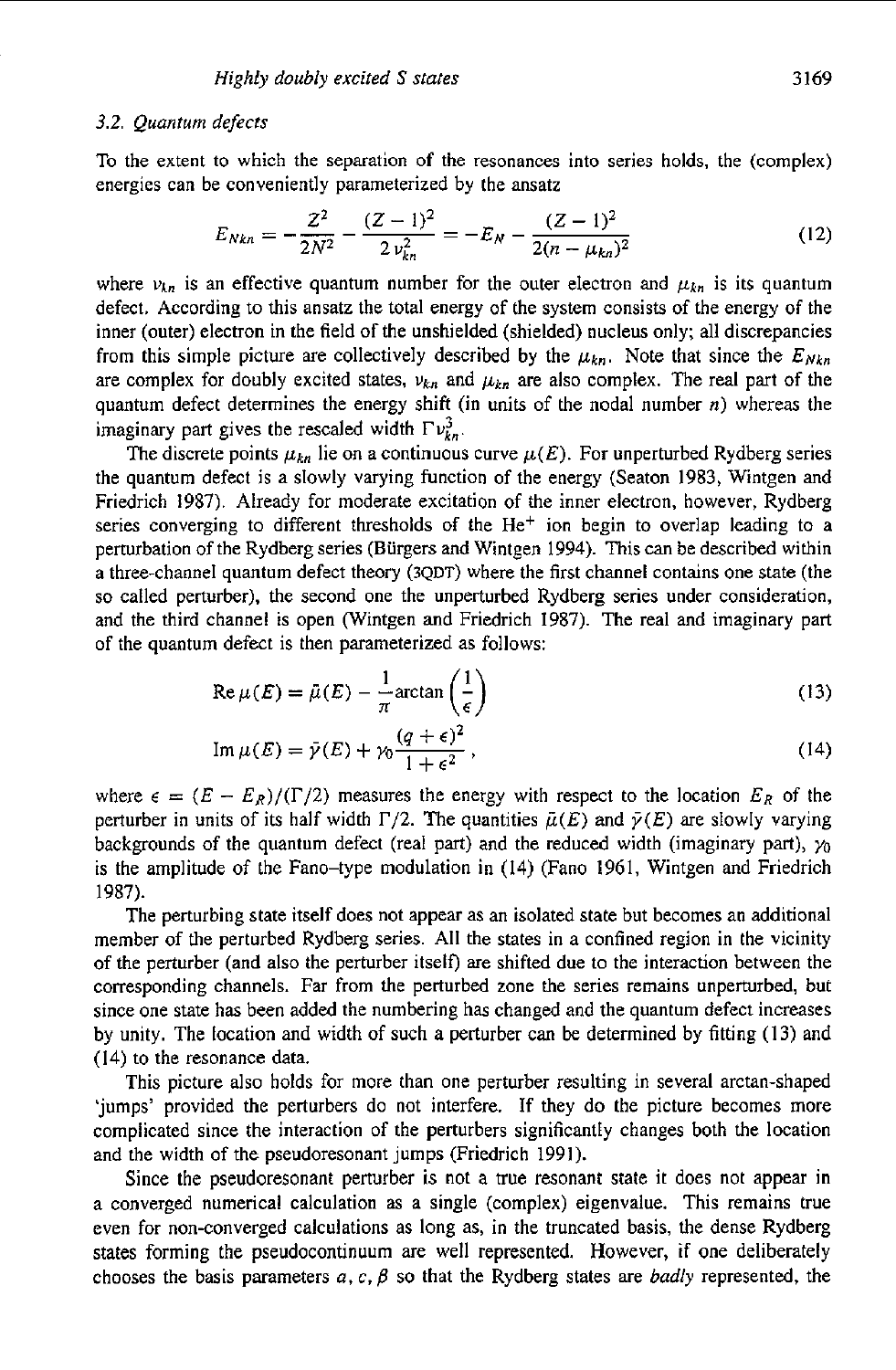#### *3.2. Quantum defects*

To the extent to which the separation of the resonances into series holds, the (complex) energies can be conveniently parameterized by the ansatz

$$
E_{Nkn} = -\frac{Z^2}{2N^2} - \frac{(Z-1)^2}{2\nu_{kn}^2} = -E_N - \frac{(Z-1)^2}{2(n-\mu_{kn})^2}
$$
(12)

where  $v_{kn}$  is an effective quantum number for the outer electron and  $\mu_{kn}$  is its quantum defect. According to this ansatz the total energy of the system consists of the energy *of* the inner (outer) electron in the field of the unshielded (shielded) nucleus only; all discrepancies from this simple picture are collectively described by the  $\mu_{kn}$ . Note that since the  $E_{Nkn}$ are complex for doubly excited states,  $v_{kn}$  and  $\mu_{kn}$  are also complex. The real part of the quantum defect determines the energy shift (in units of the nodal number *n)* whereas the imaginary part gives the rescaled width  $\Gamma v_{kn}^3$ .

The discrete points  $\mu_{kn}$  lie on a continuous curve  $\mu(E)$ . For unperturbed Rydberg series the quantum defect is a slowly varying function of the energy (Seaton 1983, Wintgen and Friedrich 1987). Already for moderate excitation of the inner electron, however, Rydberg series converging to different thresholds of the  $He<sup>+</sup>$  ion begin to overlap leading to a perturbation of the Rydberg series (Burgers and Wintgen 1994). This can be described within a three-channel quantum defect theory **(3QDT)** where the first channel contains one state (the so called perturber). the second one the unperturbed Rydberg series under consideration, and the third channel is open (Wintgen and Friedrich 1987). The real and imaginary part of the quantum defect is then parameterized as follows:

$$
Re \mu(E) = \bar{\mu}(E) - \frac{1}{\pi} \arctan\left(\frac{1}{\epsilon}\right)
$$
 (13)

$$
\operatorname{Im}\mu(E) = \bar{\gamma}(E) + \gamma_0 \frac{(q+\epsilon)^2}{1+\epsilon^2},\tag{14}
$$

where  $\epsilon = (E - E_R)/(\Gamma/2)$  measures the energy with respect to the location  $E_R$  of the perturber in units of its half width  $\Gamma/2$ . The quantities  $\bar{\mu}(E)$  and  $\bar{\gamma}(E)$  are slowly varying backgrounds of the quantum defect (real part) and the reduced width (imaginary part),  $\gamma_0$ is the amplitude of the Fano-type modulation in (14) (Fano 1961, Wintgen and Friedrich 1987).

The perturbing state itself does not appear as an isolated state but becomes an additional member of the perturbed Rydberg series. All the states in a confined region in the vicinity of the perturber (and also the perturber itself) are shifted due to the interaction between the corresponding channels. Far from the perturbed zone the series remains unperturbed, but since one state has been added the numbering has changed and the quantum defect increases by unity. The location and width of such a perturber can be determined by fitting (13) and (14) to the resonance data.

This picture also holds for more than one perturber resulting in several arctan-shaped 'jumps' provided the perturbers do not interfere. If they do the picture becomes more complicated since the interaction of the perturbers significantly changes both the location and the width of the pseudoresonant jumps (Friedrich 1991).

Since the pseudoresonant perturber is not **a** true resonant state it does not appear in a converged numerical calculation as a single (complex) eigenvalue. This remains true even for non-converged calculations as long as, in the truncated basis, the dense Rydberg states forming the pseudocontinuum are well represented. However, *if* one deliberately chooses the basis parameters  $a, c, \beta$  so that the Rydberg states are *badly* represented, the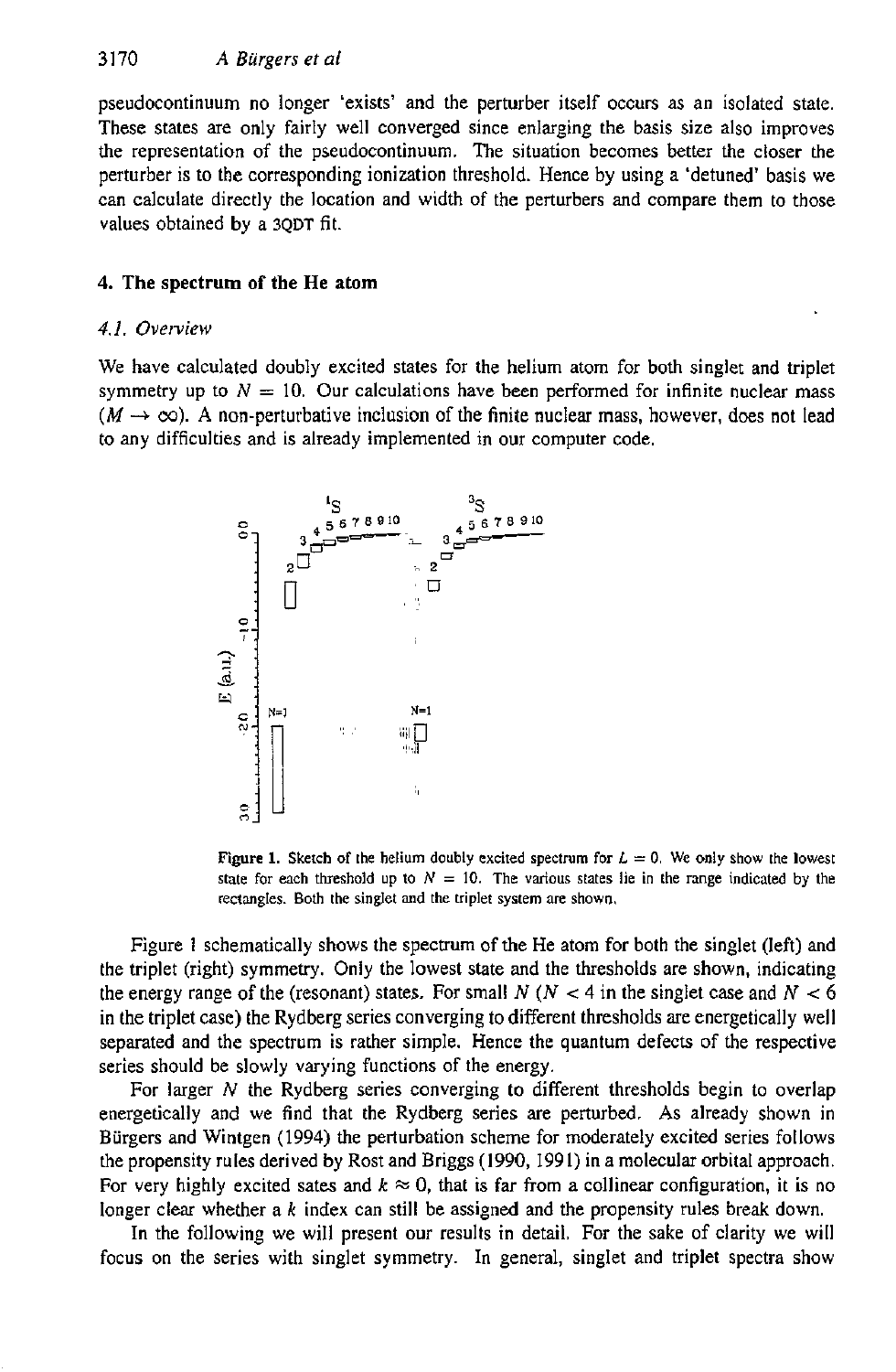pseudocontinuum no longer 'exists' and the perturber itself occurs as an isolated state. These states are only fairly well converged since enlarging the basis size also improves the representation of the pseudocontinuum. The situation becomes better the closer the perturber is to the corresponding ionization threshold. Hence by using a 'detuned' basis we can calculate directly the location and width of the perturbers and compare them to those values obtained by a **3QDT** fit.

# **4.** The spectrum **of the** He atom

# *4.1. Overview*

We have calculated doubly excited states for the helium atom for both singlet and triplet symmetry up to  $N = 10$ . Our calculations have been performed for infinite nuclear mass  $(M \rightarrow \infty)$ . A non-perturbative inclusion of the finite nuclear mass, however, does not lead to any difficulties and is already implemented in our computer code.



**Figure 1.** Sketch of the helium doubly excited spectrum for  $L = 0$ . We only show the lowest state for each threshold up to  $N = 10$ . The various states lie in the range indicated by the **rectangles. Both the singlet and the viplet system** me **shown,** 

Figure **1** schematically shows the spectrum of the He atom **for** both the singlet (left) and the triplet (right) symmetry. Only the lowest state and the thresholds are shown, indicating the energy range of the (resonant) states. For small  $N$  ( $N < 4$  in the singlet case and  $N < 6$ in the triplet case) the Rydberg series converging to different thresholds are energetically well separated and the spectrum is rather simple. Hence the quantum defects of the respective series should be slowly varying functions of the energy.

For larger *N* the Rydberg series converging to different thresholds begin to overlap energetically and we find that the Rydberg series are perturbed. **As** already shown in Burgers and Wintgen (1994) the perturbation scheme for moderately excited series follows the propensity rules derived by Rost and Briggs (1990, 1991) in a molecular orbital approach. For very highly excited sates and  $k \approx 0$ , that is far from a collinear configuration, it is no longer clear whether a *k* index can still be assigned and the propensity rules break down.

In the following we will present our results in detail. For the sake of clarity we will focus on the series with singlet symmetry. In general, singIet and triplet spectra show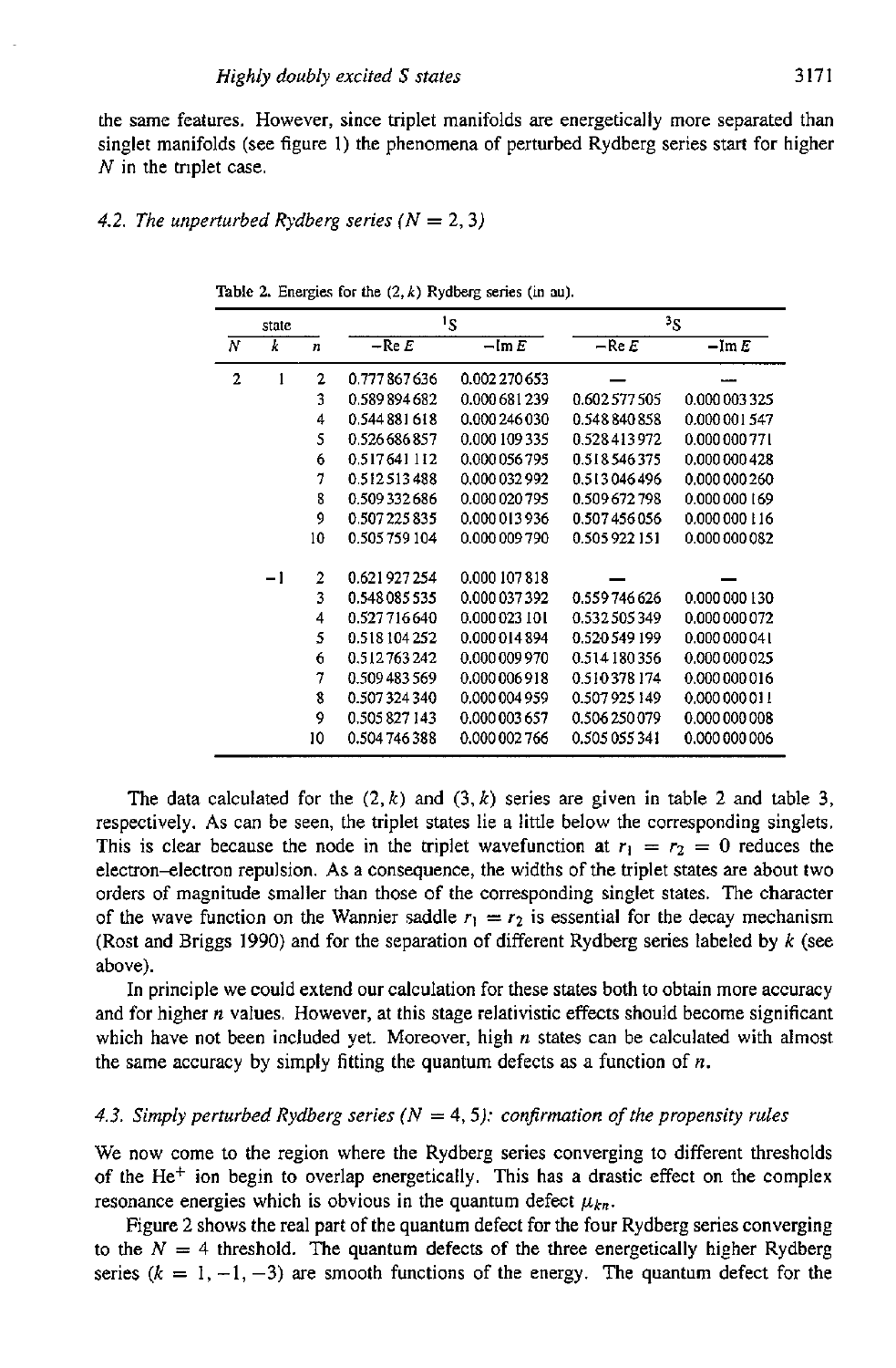the same features. However, since triplet manifolds **are** energetically more separated than singlet manifolds (see figure I) the phenomena of perturbed Rydberg series start **for** higher *N* in the tnplet case.

#### 4.2. The unperturbed Rydberg series  $(N = 2, 3)$

|   | state |                | ١s            |                           | 3ς            |                  |
|---|-------|----------------|---------------|---------------------------|---------------|------------------|
| Ν | k     | n              | $-$ Re $E$    | $-\mathop{\mathrm{Im}} E$ | $-$ Re $E$    | $-\mathrm{Im} E$ |
| 2 | 1     | $\overline{2}$ | 0.777867636   | 0.002 270 653             |               |                  |
|   |       | 3              | 0.589894682   | 0.000 681 239             | 0.602577505   | 0.000 003 325    |
|   |       | 4              | 0.544 881 618 | 0.000 246 030             | 0.548840858   | 0.000001547      |
|   |       | 5              | 0.526 686 857 | 0.000 109 335             | 0.528413972   | 0.000 000 771    |
|   |       | 6              | 0.517641112   | 0.000 056 795             | 0.518546375   | 0.000 000 428    |
|   |       | 7              | 0.512513488   | 0.000 032 992             | 0.513046496   | 0.000 000 260    |
|   |       | 8              | 0.509332686   | 0.000 020 795             | 0.509672798   | 0.000 000 169    |
|   |       | 9              | 0.507 225 835 | 0.000 013 936             | 0.507456056   | 0.000 000 116    |
|   |       | 10             | 0.505759104   | 0.000 009 790             | 0.505922151   | 0.000 000 082    |
|   | -1    | $\mathbf{2}$   | 0.621927254   | 0.000 107 818             |               |                  |
|   |       | 3              | 0.548085535   | 0.000 037 392             | 0.559746626   | 0.000000130      |
|   |       | 4              | 0.527716640   | 0.000 023 101             | 0.532505349   | 0 000 000 072    |
|   |       | 5              | 0.518 104 252 | 0.000 014 894             | 0.520549199   | 0.000000041      |
|   |       | 6              | 0.512763242   | 0.000 009 970             | 0.514180356   | 0.000 000 025    |
|   |       | 7              | 0.509 483 569 | 0.000 006 918             | 0.510378174   | 0.000 000 016    |
|   |       | 8              | 0.507324340   | 0.000 004 959             | 0.507925149   | 0.000 000 011    |
|   |       | 9              | 0.505827143   | 0.000 003 657             | 0.506250079   | 0.000 000 008    |
|   |       | 10             | 0.504 746 388 | 0.000 002 766             | 0.505 055 341 | 0.000 000 006    |

**Table 2.** Energies for the  $(2, k)$  Rydberg series (in au).

The data calculated for the  $(2, k)$  and  $(3, k)$  series are given in table 2 and table 3, respectively. **As** can be seen, the triplet states lie a little below the corresponding singlets. This is clear because the node in the triplet wavefunction at  $r_1 = r_2 = 0$  reduces the electron-electron repulsion. As a consequence, the widths of the triplet states are about two orders of magnitude smaller than those of the corresponding singlet states. The character of the wave function on the Wannier saddle  $r_1 = r_2$  is essential for the decay mechanism (Rost and Briggs 1990) and for the separation of different Rydberg series labeled by *k* (see above).

In principle we could extend our calculation for these states both to obtain more accuracy and for higher *n* values. However, at this stage relativistic effects should become significant which have not been included yet. Moreover, high *n* states can be calculated with almost the same accuracy by simply fitting the quantum defects as a function of *n.* 

### 4.3. Simply perturbed Rydberg series  $(N = 4, 5)$ : confirmation of the propensity rules

We now come to the region where the Rydberg series converging to different thresholds of the He<sup>+</sup> ion begin to overlap energetically. This has a drastic effect on the complex resonance energies which is obvious in the quantum defect  $\mu_{kn}$ .

Figure 2 shows the real part of the quantum defect for the four Rydberg series converging to the  $N = 4$  threshold. The quantum defects of the three energetically higher Rydberg series  $(k = 1, -1, -3)$  are smooth functions of the energy. The quantum defect for the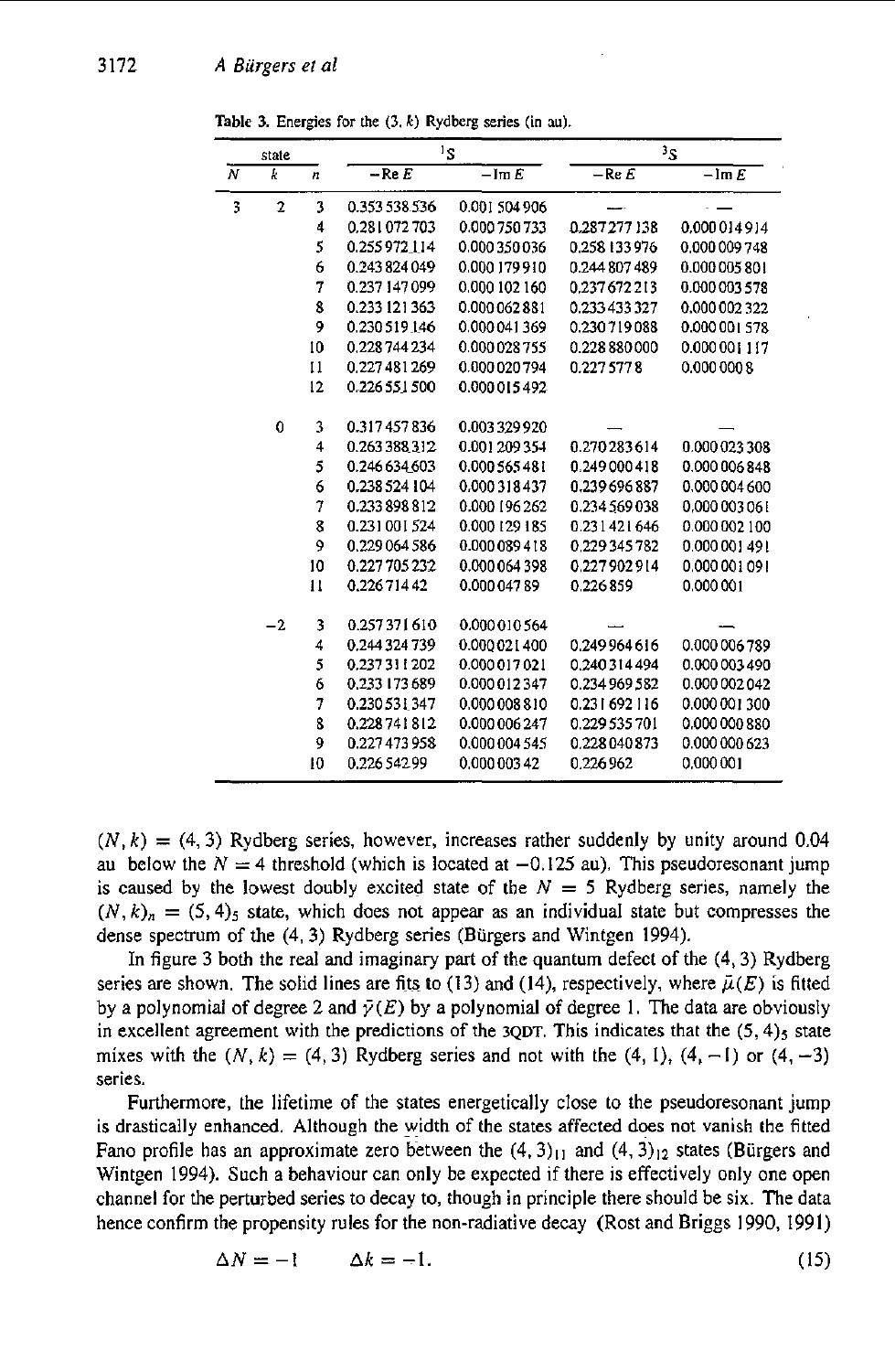|   | state          |              | ١s            |                        | 3S            |               |
|---|----------------|--------------|---------------|------------------------|---------------|---------------|
| N | k              | n            | $-$ Re $E$    | $-\operatorname{Im} E$ | $-$ Re $E$    | $-$ Im $E$    |
| 3 | $\overline{2}$ | 3            | 0.353 538 536 | 0.001 504 906          |               |               |
|   |                | 4            | 0.281072703   | 0.000 750 733          | 0.287277138   | 0.000014914   |
|   |                | 5            | 0.255972114   | 0.000 350 036          | 0.258 133 976 | 0.000 009 748 |
|   |                | 6            | 0.243 824 049 | 0.000 179 910          | 0.244 807 489 | 0.000 005 801 |
|   |                | 7            | 0.237 147 099 | 0.000 102 160          | 0.237672213   | 0.000003578   |
|   |                | 8            | 0.233 121 363 | 0.000 062 881          | 0.233 433 327 | 0.000 002 322 |
|   |                | 9            | 0.230 519 146 | 0.000 041 369          | 0.230719088   | 0.000 001 578 |
|   |                | 10           | 0.228 744 234 | 0.000 028 755          | 0.228 880 000 | 0.000 001 117 |
|   |                | 11           | 0.227 481 269 | 0.000 020 794          | 0.227 577 8   | 0.000 000 8   |
|   |                | 12           | 0.226 551 500 | 0.000 015 492          |               |               |
|   | 0              | 3            | 0.317457836   | 0.003 329 920          |               |               |
|   |                | 4            | 0.263 388 312 | 0.001 209 354          | 0.270283614   | 0.000 023 308 |
|   |                | 5            | 0.246 634 603 | 0.000 565 481          | 0.249000418   | 0.000 006 848 |
|   |                | 6            | 0.238 524 104 | 0.000318437            | 0.239696887   | 0.000 004 600 |
|   |                | 7            | 0.233898812   | 0.000 196 262          | 0.234 569 038 | 0.000 003 061 |
|   |                | 8            | 0.231001524   | 0.000 129 185          | 0.231421646   | 0.000 002 100 |
|   |                | 9            | 0.229064586   | 0.000 089 418          | 0.229345782   | 0.000 001 491 |
|   |                | 10           | 0.227 705 232 | 0.000 064 398          | 0.227902914   | 0.000 001 091 |
|   |                | $\mathbf{1}$ | 0.22671442    | 0.000 047 89           | 0.226859      | 0.000001      |
|   | $-2$           | 3            | 0.257371610   | 0.000 010 564          |               |               |
|   |                | 4            | 0.244 324 739 | 0.000 021 400          | 0.249 964 616 | 0.000 006 789 |
|   |                | 5            | 0.237 311 202 | 0.000 017 021          | 0.240314494   | 0.000 003 490 |
|   |                | 6            | 0.233 173 689 | 0.000 012 347          | 0.234 969 582 | 0.000 002 042 |
|   |                | 7            | 0.230 531 347 | 0.000 008 810          | 0.231692116   | 0.000 001 300 |
|   |                | 8            | 0.228741812   | 0.000 006 247          | 0.229 535 701 | 0.000 000 880 |
|   |                | 9            | 0.227473958   | 0.000 004 545          | 0.228040873   | 0.000 000 623 |
|   |                | 10           | 0.22654299    | 0.000 003 42           | 0.226962      | 0.000001      |

**Table 3.** Energies for the  $(3, k)$  Rydberg series (in au).

 $(N, k) = (4, 3)$  Rydberg series, however, increases rather suddenly by unity around 0.04 au below the  $N = 4$  threshold (which is located at  $-0.125$  au). This pseudoresonant jump is caused by the lowest doubly excited state of the  $N = 5$  Rydberg series, namely the  $(N, k)$ <sub>n</sub> =  $(5, 4)$ <sub>5</sub> state, which does not appear as an individual state but compresses the dense spectrum of the (4,3) Rydberg series (Biirgers and Wintgen 1994).

In figure 3 both the real and imaginary part of the quantum defect of the  $(4, 3)$  Rydberg series are shown. The solid lines are fits to (13) and (14), respectively, where  $\tilde{\mu}(E)$  is fitted by a polynomial of degree 2 and  $\bar{\gamma}(E)$  by a polynomial of degree 1. The data are obviously in excellent agreement with the predictions of the  $3QDT$ . This indicates that the  $(5, 4)$ <sub>5</sub> state mixes with the  $(N, k) = (4, 3)$  Rydberg series and not with the  $(4, 1)$ ,  $(4, -1)$  or  $(4, -3)$ series.

Furthermore, the lifetime of the states energetically close to the pseudoresonant jump **is** drastically enhanced. Although the width of the states affected does not vanish the fitted Fano profile has an approximate zero between the  $(4,3)_{11}$  and  $(4,3)_{12}$  states (Bürgers and Wintgen 1994). Such a behaviour can only be expected if there is effectively only one open channel for the perturbed series to decay to, though in principle there should be six. The data hence confirm the propensity rules for the non-radiative decay (Rost and Briggs 1990, 1991)

$$
\Delta N = -1 \qquad \Delta k = -1. \tag{15}
$$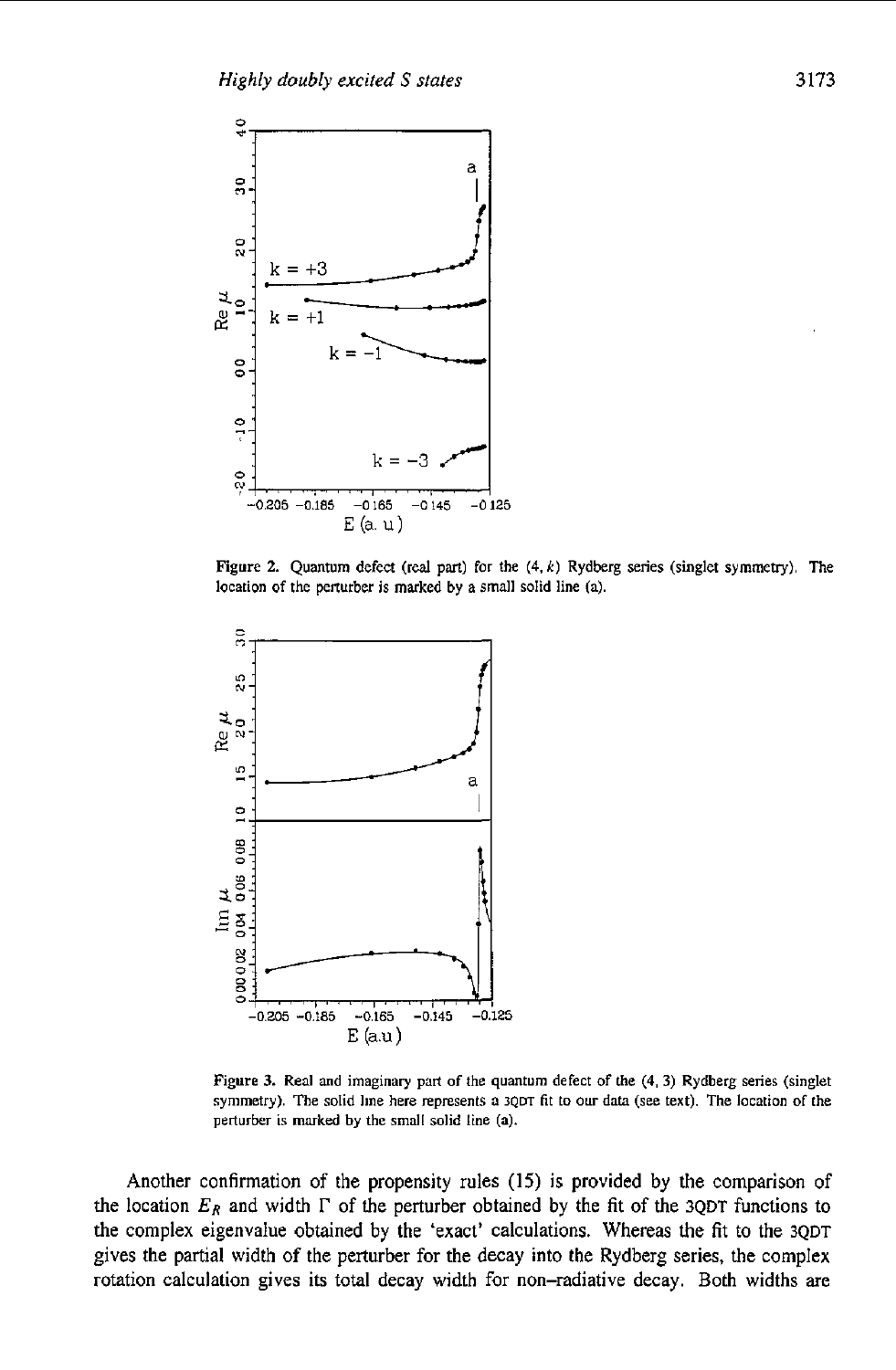

**Figure 2. Quantum defect (real pm) for the (4.** *k)* **Rydberg series (singlet symmetry). The location of the perturber is marked by a** small **solid line (a).** 



**Figure 3. Real and imaginary pan of the quantum defect of the (4, 3) Rydberg series (singlet symmetry). The solid line here represents a 3Qm fit to our data (see text). The location of the perturber is marked by the small solid** line **(a).** 

Another confirmation of the propensity rules (15) is provided by the comparison of the location  $E_R$  and width  $\Gamma$  of the perturber obtained by the fit of the **3QDT** functions to the complex eigenvalue obtained by the 'exact' calculations. Whereas the fit to the **3QDT**  gives the partial width **of** the perturber for the decay into the Rydberg series, the complex rotation calculation gives its total decay width for non-radiative decay. Both widths are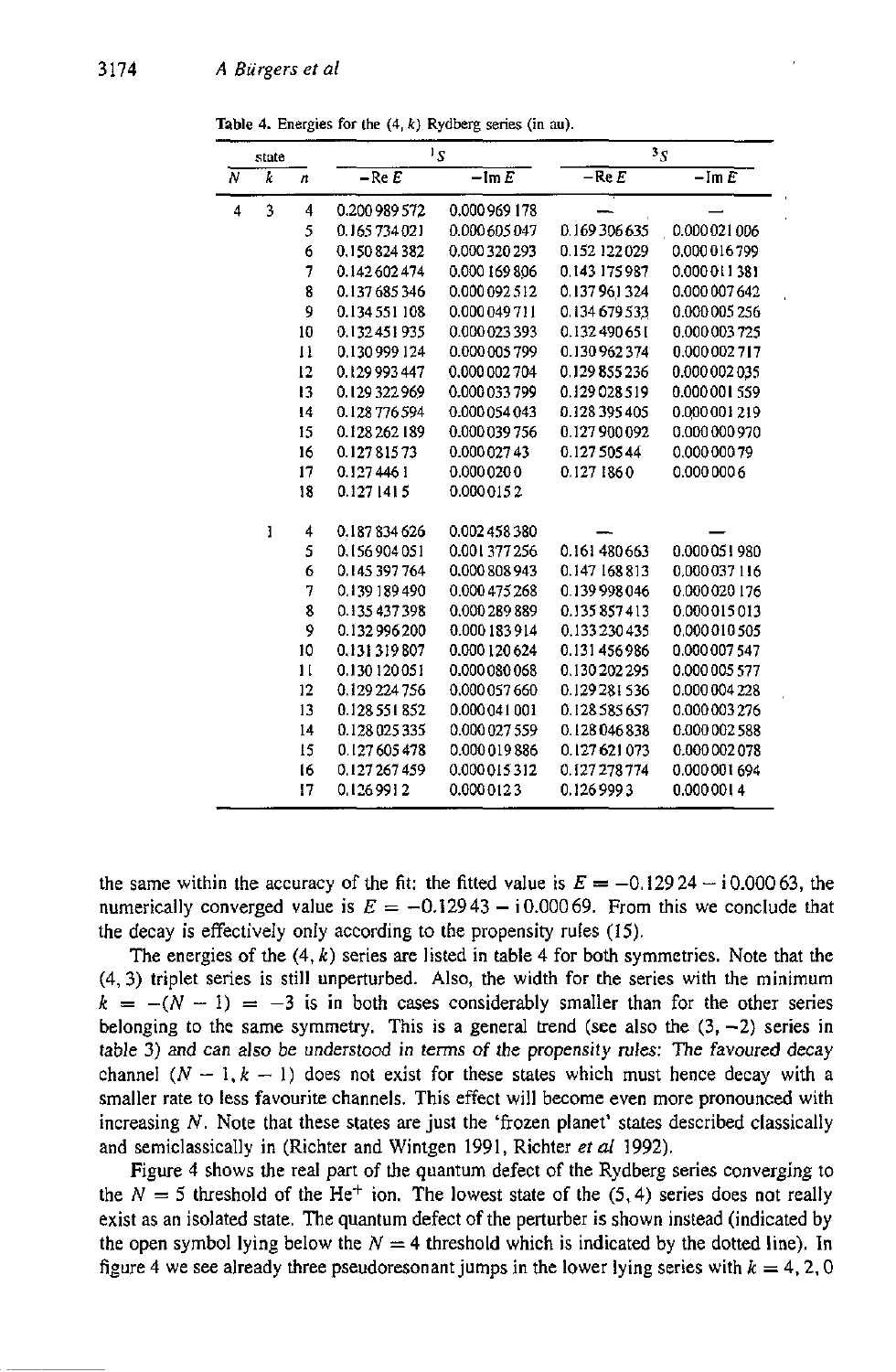|                | state |              | $1_{\mathcal{S}}$ |                        | 3S                |                |
|----------------|-------|--------------|-------------------|------------------------|-------------------|----------------|
| $\overline{N}$ | k     | n            | $-$ Re $E$        | $-\operatorname{Im} E$ | $-$ Re $\emph{E}$ | $-\text{Im }E$ |
| 4              | 3     | 4            | 0.200 989 572     | 0.000969178            |                   |                |
|                |       | 5            | 0 165 734 021     | 0.000 605 047          | 0.169306635       | 0.000021006    |
|                |       | 6            | 0 150 824 382     | 0.000320293            | 0.152 122 029     | 0.000 016 799  |
|                |       | 7            | 0.142602474       | 0.000 169 806          | 0.143 175 987     | 0.000 011 381  |
|                |       | 8            | 0.137 685 346     | 0.000 092 512          | 0.137961324       | 0.000 007 642  |
|                |       | 9            | 0.134551108       | 0.000 049 711          | 0.134 679 533     | 0.000005256    |
|                |       | 10           | 0.132451935       | 0.000 023 393          | 0.132 490 651     | 0.000003725    |
|                |       | $_{11}$      | 0 130 999 124     | 0.000 005 799          | 0.130 962 374     | 0.000 002 717  |
|                |       | 12           | 0 129 993 447     | 0.000 002 704          | 0.129855236       | 0.000 002 035  |
|                |       | 13           | 0 129 322 969     | 0.000 033 799          | 0.129028519       | 0.000001559    |
|                |       | 14           | 0.128776594       | 0.000 054 043          | 0.128 395 405     | 0.000 001 219  |
|                |       | 15           | 0.128 262 189     | 0.000 039 756          | 0.127900092       | 0.000 000 970  |
|                |       | 16           | 0.12781573        | 0.000 027 43           | 0.127 505 44      | 0.000 000 79   |
|                |       | 17           | 0.1274461         | 0.0000200              | 0.1271860         | 0.000 000 6    |
|                |       | 18           | 0.127 1415        | 0.0000152              |                   |                |
|                | ı     | 4            | 0.187834626       | 0.002458380            |                   |                |
|                |       | 5            | 0.156904051       | 0.001 377 256          | 0.161 480 663     | 0.000 051 980  |
|                |       | 6            | 0 145 397 764     | 0.000 808 943          | 0.147 168 813     | 0,000 037 116  |
|                |       | 7            | 0 139 189 490     | 0.000 475 268          | 0.139998046       | 0.000020176    |
|                |       | 8            | 0.135437398       | 0.000 289 889          | 0.135857413       | 0.000015013    |
|                |       | 9            | 0.132996200       | 0.000 183 914          | 0.133 230 435     | 0.000 010 505  |
|                |       | 10           | 0.131319807       | 0.000 120 624          | 0.131456986       | 0.000 007 547  |
|                |       | $\mathbf{1}$ | 0.130 120 051     | 0.000 080 068          | 0.130 202 295     | 0.000 005 577  |
|                |       | 12           | 0.129224756       | 0.000 057 660          | 0.129 281 536     | 0.000 004 228  |
|                |       | 13           | 0.128 551 852     | 0.000 041 001          | 0.128 585 657     | 0.000 003 276  |
|                |       | 14           | 0.128 025 335     | 0.000 027 559          | 0.128046838       | 0.000 002 588  |
|                |       | 15           | 0.127605478       | 0.000 019 886          | 0.127621073       | 0.000 002 078  |
|                |       | 16           | 0127267459        | 0.000 015 312          | 0.127 278 774     | 0.000 001 694  |
|                |       | 17           | 01269912          | 0.0000123              | 0.1269993         | 0.0000014      |

**Table 4.** Energies for the  $(4, k)$  Rydberg series  $(in \, au)$ .

the same within the accuracy of the fit: the fitted value is  $E = -0.12924 - 10.00063$ , the numerically converged value is  $E = -0.12943 - 10.00069$ . From this we conclude that the decay is effectively only according to the propensity rules (15).

The energies of the (4, *k)* series are listed in table 4 for both symmetries. Note that the (4,3) triplet series is still unperturbed. **Also,** the width for the series with the minimum  $k = -(N - 1) = -3$  is in both cases considerably smaller than for the other series belonging to the same symmetry. This is a general trend (see also the  $(3, -2)$ ) series in table **3)** and can also be understood in terms of the propensity rules: The favoured decay channel  $(N - 1, k - 1)$  does not exist for these states which must hence decay with a smaller rate to less favourite channels. This effect will become even more pronounced with increasing *N.* Note that these states are just the 'frozen planet' states described classically and semiclassically in (Richter and Wintgen 1991, Richter *et al* 1992).

Figure 4 shows the real part of the quantum defect of the Rydberg series converging to the  $N = 5$  threshold of the He<sup>+</sup> ion. The lowest state of the (5,4) series does not really exist as an isolated state. The quantum defect of the perturber is shown instead (indicated by the open symbol lying below the  $N = 4$  threshold which is indicated by the dotted line). In figure 4 we see already three pseudoresonant jumps in the lower lying series with  $k = 4, 2, 0$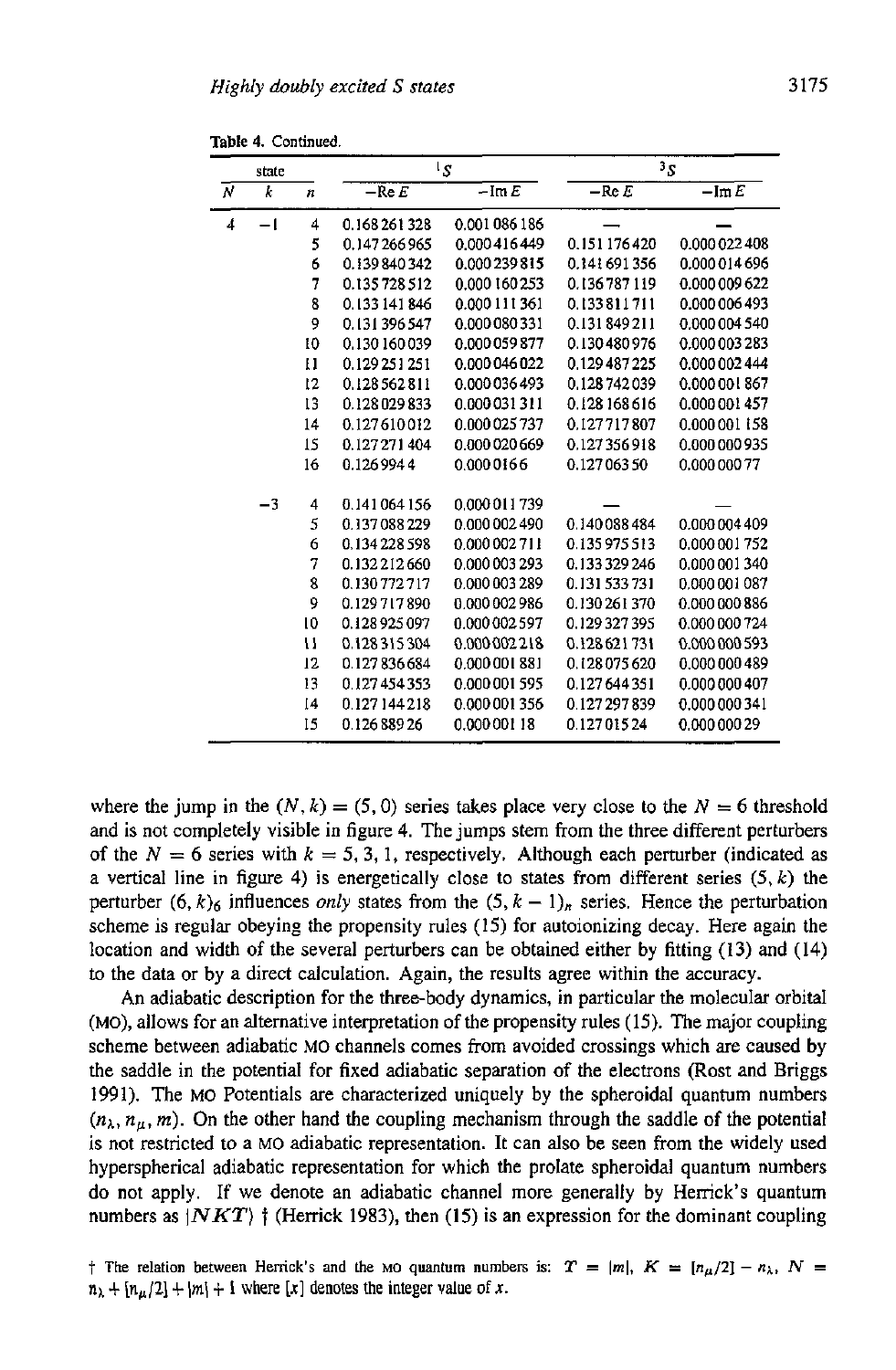**Table 4. Continued.** 

|   | state |              | $1_{S}$         |                | $^3S$         |                       |
|---|-------|--------------|-----------------|----------------|---------------|-----------------------|
| N | k     | n            | $-$ Re $E$      | $-\text{Im }E$ | $-$ Re $E$    | $-\operatorname{Im}E$ |
| 4 | $-1$  | 4            | 0.168261328     | 0.001 086 186  |               |                       |
|   |       | 5            | 0.147266965     | 0.000 416 449  | 0.151176420   | 0.000 022 408         |
|   |       | 6            | 0.139840342     | 0.000 239 815  | 0.141691356   | 0.000 014 696         |
|   |       | 7            | 0.135728512     | 0.000 160 253  | 0.136787119   | 0.000 009 622         |
|   |       | 8            | 0.133 141 846   | 0.000 111 361  | 0.133811711   | 0.000 006 493         |
|   |       | 9            | 0.131396547     | 0.000 080 331  | 0.131849211   | 0.000 004 540         |
|   |       | 10           | 0.130 160 039   | 0.000 059 877  | 0.130480976   | 0.000 003 283         |
|   |       | $\mathbf{H}$ | 0.129 25 1 25 1 | 0.000 046 022  | 0.129 487 225 | 0.000 002 444         |
|   |       | 12           | 0.128562811     | 0.000 036 493  | 0.128 74 2039 | 0.000 001 867         |
|   |       | 13           | 0.128 029 833   | 0.000 031 311  | 0.128 168 616 | 0.000 001 457         |
|   |       | 14           | 0.127610012     | 0.000 025 737  | 0.127717807   | 0.000 001 158         |
|   |       | 15           | 0.127271404     | 0.000 020 669  | 0.127356918   | 0.000 000 935         |
|   |       | 16           | 0.1269944       | 0.0000166      | 0.12706350    | 0.000 000 77          |
|   | $-3$  | 4            | 0.141064156     | 0.000 011 739  |               |                       |
|   |       | 5            | 0.137088229     | 0.000 002 490  | 0.140088484   | 0.000 004 409         |
|   |       | 6            | 0.134 228 598   | 0.000 002 711  | 0.135975513   | 0.000 001 752         |
|   |       | 7            | 0.132212660     | 0.000 003 293  | 0.133329246   | 0.000 001 340         |
|   |       | 8            | 0.130772717     | 0.000 003 289  | 0.131 533 731 | 0.000 001 087         |
|   |       | 9            | 0.129717890     | 0.000 002 986  | 0.130 261 370 | 0.000 000 886         |
|   |       | 10           | 0.128925097     | 0.000 002 597  | 0.129327395   | 0.000 000 724         |
|   |       | u            | 0.128315304     | 0.000 002 218  | 0.128621731   | 0.000 000 593         |
|   |       | 12           | 0.127836684     | 0.000 001 881  | 0.128075620   | 0.000 000 489         |
|   |       | 13           | 0.127454353     | 0.000 001 595  | 0.127644351   | 0.000 000 407         |
|   |       | [4]          | 0.127144218     | 0.000 001 356  | 0.127297839   | 0.000 000 341         |
|   |       | 15           | 0.126 889 26    | 0.000 001 18   | 0.12701524    | 0.000 000 29          |

where the jump in the  $(N, k) = (5, 0)$  series takes place very close to the  $N = 6$  threshold and is not completely visible in figure **4.** The jumps stem from the three different perturbers of the  $N = 6$  series with  $k = 5, 3, 1$ , respectively. Although each perturber (indicated as a vertical line in figure **4)** is energetically close to states from different series *(5, k)* the perturber  $(6, k)$ <sub>6</sub> influences *only* states from the  $(5, k - 1)$ <sub>n</sub> series. Hence the perturbation scheme is regular obeying the propensity rules (15) for autoionizing decay. Here again the location and width *of* the several perturbers can be obtained either by fitting **(13)** and (14) to the data or by a direct calculation. Again, the results agree within the accuracy.

An adiabatic description for the three-body dynamics, in particular the molecular orbital (MO), allows for an alternative interpretation of the propensity rules (15). The major coupling scheme between adiabatic MO channels comes from avoided crossings which are caused by the saddle in the potential for fixed adiabatic separation of the electrons (Rost and Briggs 1991). The MO Potentials are characterized uniquely by the spheroidal quantum numbers  $(n_{\lambda}, n_{\mu}, m)$ . On the other hand the coupling mechanism through the saddle of the potential is not restricted to a MO adiabatic representation. It can also be seen from the widely used hyperspherical adiabatic representation for which the prolate spheroidal quantum numbers do not apply. If we denote an adiabatic channel more generally by Henick's quantum numbers as  $|NKT\rangle$  <sup>\*</sup> (Herrick 1983), then (15) is an expression for the dominant coupling

*t* The relation between Herrick's and the MO quantum numbers is:  $T = |m|$ ,  $K = [n_{\mu}/2] - n_{\lambda}$ ,  $N =$  $n_{\lambda} + [n_{\mu}/2] + |m| + 1$  where [x] denotes the integer value of *x*.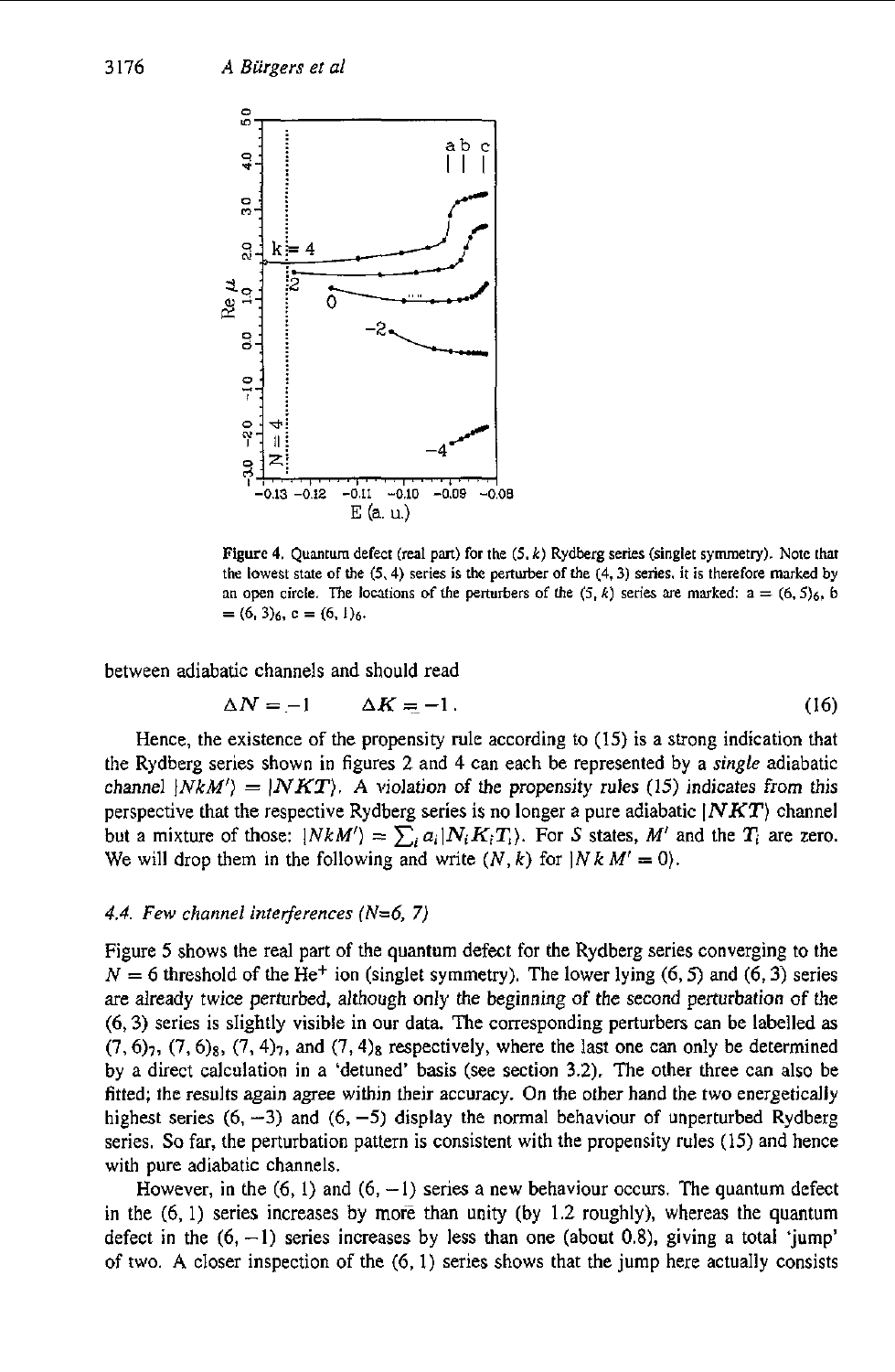

**Figure 4. Quantum defect (real pan) for the** *(5, k)* **Rydberg series (singlet symmetry). Note** that **h**e **lowest** state of the  $(5, 4)$  series is the perturber of the  $(4, 3)$  series, it is therefore marked by **an open circle.** The locations of the perturbers of the  $(5, k)$  series are marked:  $a = (6, 5)6$ , b  $= (6, 3)_6$ ,  $c = (6, 1)_6$ .

between adiabatic channels and should read

$$
\Delta N = -1 \qquad \Delta K = -1. \tag{16}
$$

Hence, the existence of the propensity rule according to (15) is a strong indication that the Rydberg series shown in figures 2 and 4 can each be represented by **a** *single* adiabatic channel  $|NkM'| = |NKT|$ . A violation of the propensity rules (15) indicates from this perspective that the respective Rydberg series is no longer a pure adiabatic *INKT)* channel but a mixture of those:  $|NkM'\rangle = \sum_{i} a_i |N_i K_i T_i\rangle$ . For *S* states, *M'* and the  $T_i$  are zero. We will drop them in the following and write  $(N, k)$  for  $|N k M' = 0\rangle$ .

### *4.4. Few channel interferences (N=6,* **7)**

Figure *5* shows the real part of the quantum defect for the Rydberg series converging to the  $N = 6$  threshold of the He<sup>+</sup> ion (singlet symmetry). The lower lying  $(6, 5)$  and  $(6, 3)$  series are already twice perturbed, although only the beginning of the second perturbation of the *(6,3)* series is sIightly visible in **our** data. The corresponding perturbers can be labelled **as**   $(7,6)_7$ ,  $(7,6)_8$ ,  $(7,4)_7$ , and  $(7,4)_8$  respectively, where the last one can only be determined by a direct calculation in a 'detuned' basis (see section 3.2). The other three can also be fitted; the results again agree within their accuracy. **On** the other hand the two energetically highest series  $(6, -3)$  and  $(6, -5)$  display the normal behaviour of unperturbed Rydberg series. *So* far, the perturbation pattern is consistent with the propensity rules (15) and hence with pure adiabatic channels.

However, in the  $(6, 1)$  and  $(6, -1)$  series a new behaviour occurs. The quantum defect in the  $(6, 1)$  series increases by more than unity (by 1.2 roughly), whereas the quantum defect in the  $(6, -1)$  series increases by less than one (about 0.8), giving a total 'jump' of two. **A** closer inspection of the (6, I) series shows that the jump here actually consists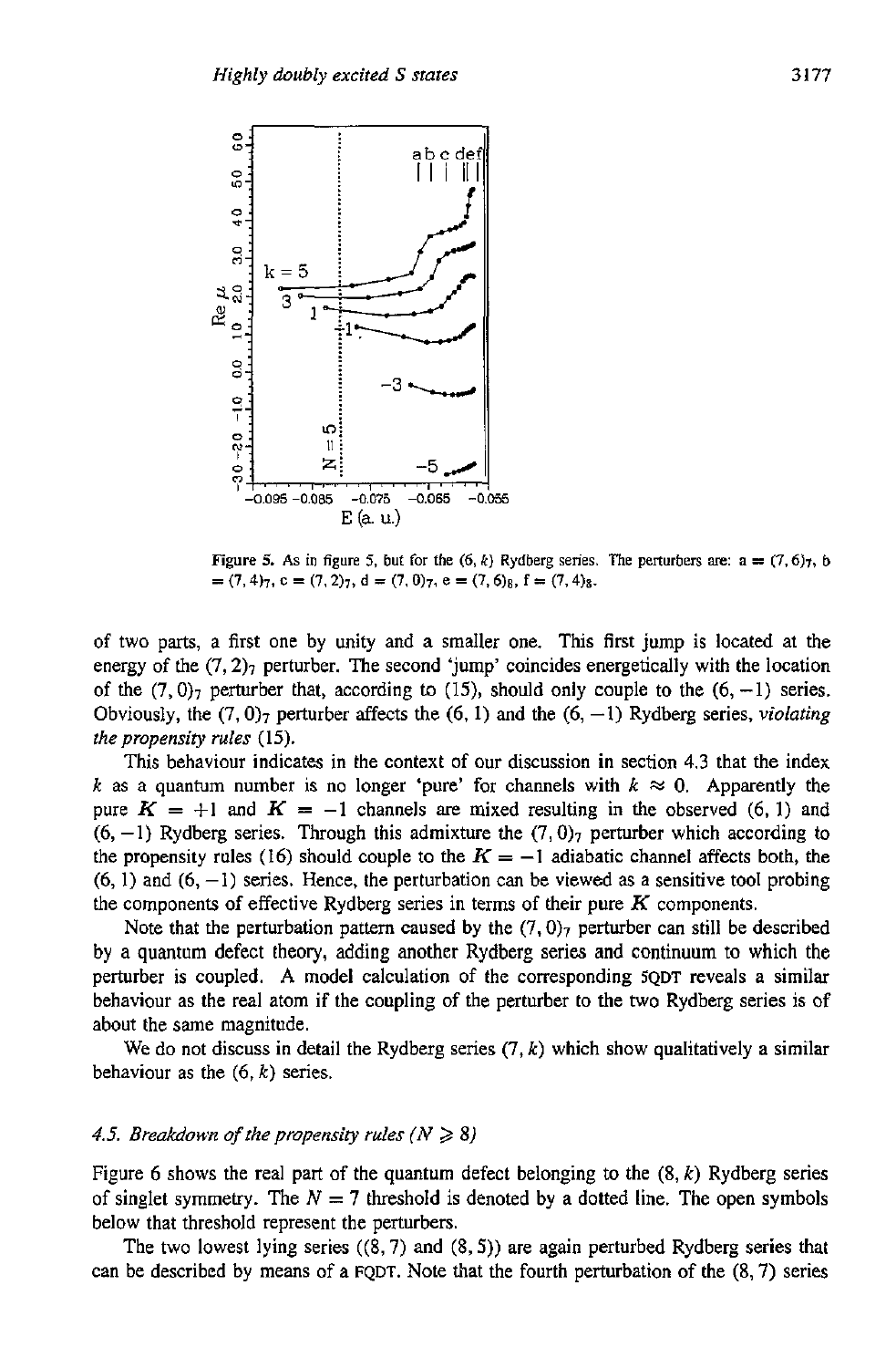

**Figure 5.** As in figure 5, but for the  $(6, k)$  Rydberg series. The perturbers are:  $a = (7, 6)$ <sub>7</sub>, b  $=(7,4)_7$ ,  $c = (7,2)_7$ ,  $d = (7,0)_7$ ,  $e = (7,6)_8$ ,  $f = (7,4)_8$ .

of two parts, a first one by unity and a smaller one. This first jump is located at the energy of the  $(7, 2)_7$  perturber. The second 'jump' coincides energetically with the location of the  $(7, 0)$ <sub>7</sub> perturber that, according to (15), should only couple to the  $(6, -1)$  series. Obviously, the  $(7,0)_7$  perturber affects the  $(6, 1)$  and the  $(6, -1)$  Rydberg series, *violating the propensity rules* (15).

This behaviour indicates in the context of our discussion in section **4.3** that the index *k* as a quantum number is no longer 'pure' for channels with  $k \approx 0$ . Apparently the pure  $K = +1$  and  $K = -1$  channels are mixed resulting in the observed (6, 1) and  $(6, -1)$  Rydberg series. Through this admixture the  $(7, 0)_7$  perturber which according to the propensity rules (16) should couple to the  $K = -1$  adiabatic channel affects both, the (6, 1) and (6, **-1)** series. Hence, the perturbation can be viewed **as** a sensitive tool probing the components *of* effective Rydberg series in terms of their pure *K* components.

Note that the perturbation pattern caused by the  $(7, 0)_7$  perturber can still be described by a quantum defect theory, adding another Rydberg series and continuum to which the perturber is coupled. A model calculation of the corresponding **SQDT** reveals a similar behaviour as the real atom if the coupling of the perturber to the two Rydberg series is of about the same magnitude.

We do not discuss in detail the Rydberg series  $(7, k)$  which show qualitatively a similar behaviour as the (6, *k)* series.

### 4.5. Breakdown of the propensity rules  $(N \ge 8)$

Figure 6 shows the real part of the quantum defect belonging *to* the (8, *k)* Rydberg series of singlet symmetry. The  $N = 7$  threshold is denoted by a dotted line. The open symbols below that threshold represent the perturbers.

The two lowest lying series ((8,7) and **(8,s))** are again perturbed Rydberg series that can be described by means of a **FQDT.** Note that the fourth perturbation of the **(8,7)** series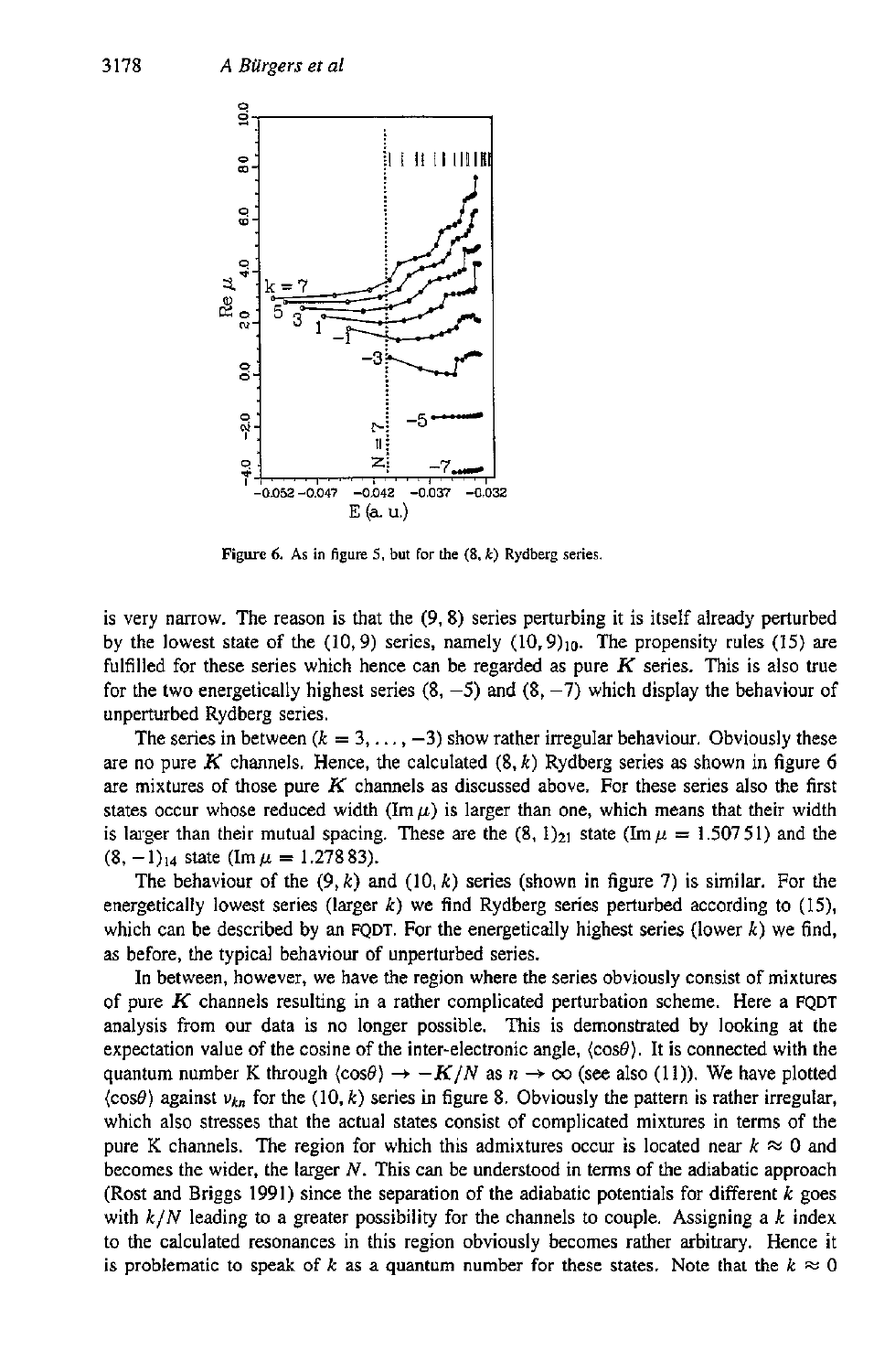

**Figure 6.** As in figure 5, but for the  $(8, k)$  Rydberg series.

is very narrow. The reason is that the (9,8) series perturbing it is itself already perturbed by the lowest state of the  $(10, 9)$  series, namely  $(10, 9)_{10}$ . The propensity rules (15) are fulfilled for these series which hence can be regarded as pure *K* series. This is also true for the two energetically highest series  $(8, -5)$  and  $(8, -7)$  which display the behaviour of unperturbed Rydberg series.

The series in between  $(k = 3, \ldots, -3)$  show rather irregular behaviour. Obviously these are no pure *K* channels. Hence, the calculated (8. *k)* Rydberg series **as** shown in figure *6*  are mixtures of those pure *K* channels as discussed above. For these series also the first states occur whose reduced width ( $\text{Im }\mu$ ) is larger than one, which means that their width is larger than their mutual spacing. These are the  $(8, 1)<sub>21</sub>$  state (Im  $\mu = 1.50751$ ) and the  $(8, -1)_{14}$  state (Im  $\mu = 1.27883$ ).

The behaviour of the  $(9, k)$  and  $(10, k)$  series (shown in figure 7) is similar. For the energetically lowest series (larger *k)* we find Rydberg series perturbed according to (15), which can be described by an FQDT. For the energetically highest series (lower  $k$ ) we find, **as** before, the typical behaviour of unperturbed series.

In between, however, we have the region where the series obviously consist of mixtures of pure *K* channels resulting in a rather complicated perturbation scheme. Here a FQDT analysis from our data is no longer possible. This is demonstrated by looking at the expectation value of the cosine of the inter-electronic angle,  $\langle \cos \theta \rangle$ . It is connected with the quantum number K through  $\langle \cos \theta \rangle \rightarrow -K/N$  as  $n \rightarrow \infty$  (see also (11)). We have plotted  $\langle \cos \theta \rangle$  against  $v_{kn}$  for the  $(10, k)$  series in figure 8. Obviously the pattern is rather irregular, which also stresses that the actual states consist of complicated mixtures in terms *of* the pure K channels. The region for which this admixtures occur is located near  $k \approx 0$  and becomes the wider, the larger *N.* This can be understood in terms of the adiabatic approach (Rost and Briggs 1991) since the separation of the adiabatic potentials for different *k* goes with *k/N* leading to a greater possibility for the channels to couple. Assigning a *k* index to the calculated resonances in this region obviously becomes rather arbitrary. Hence it is problematic to speak of *k* as a quantum number for these states. Note that the  $k \approx 0$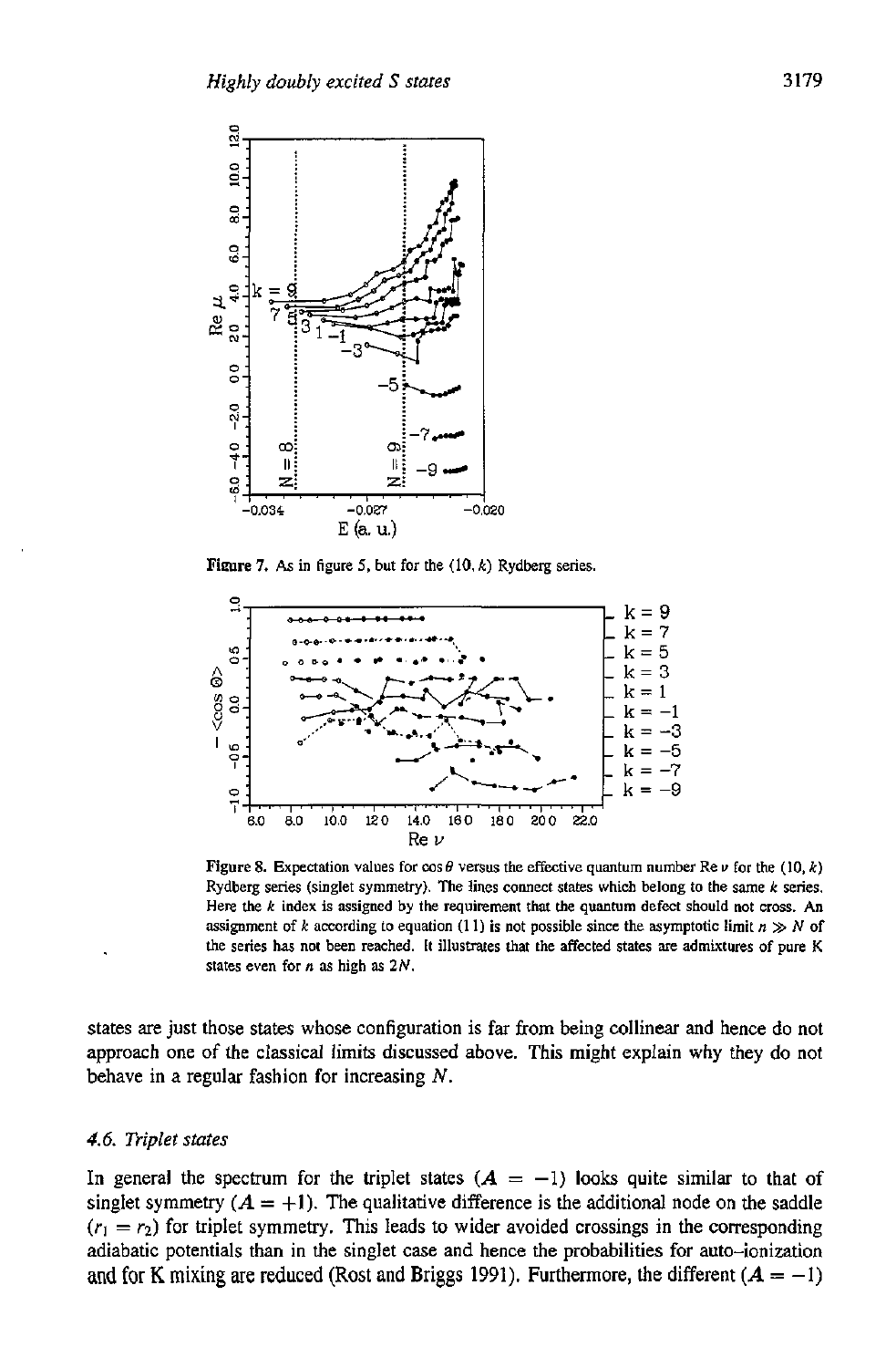

**Figure 7.** As in figure 5, but for the  $(10, k)$  Rydberg series.



Figure 8. Expectation values for  $\cos \theta$  versus the effective quantum number  $\text{Re } \nu$  for the (10, *k*) Rydberg series (singlet symmetry). The lines comect states which belong to the **same** *k* series. Here the *k* index **is assigned** by the requirement *that* the quantum defect should not cross. An assignment of *k* according to equation (11) is not possible since the asymptotic limit  $n \gg N$  of the series has not been reached. It illustrates that the affected states are admixtures of pure K states **even** for *n* as high as *2N.* 

states **are** just those states whose configuration is far from being collinear and hence do not approach one of the classical limits discussed above. This might explain why they do not behave in a regular fashion for increasing *N.* 

### *4.6. Triplet states*

In general the spectrum for the triplet states  $(A = -1)$  looks quite similar to that of singlet symmetry  $(A = +1)$ . The qualitative difference is the additional node on the saddle  $(r_1 = r_2)$  for triplet symmetry. This leads to wider avoided crossings in the corresponding adiabatic potentials than in the singlet case and hence the probabilities for auto-ionization and for K mixing are reduced (Rost and Briggs 1991). Furthermore, the different  $(A = -1)$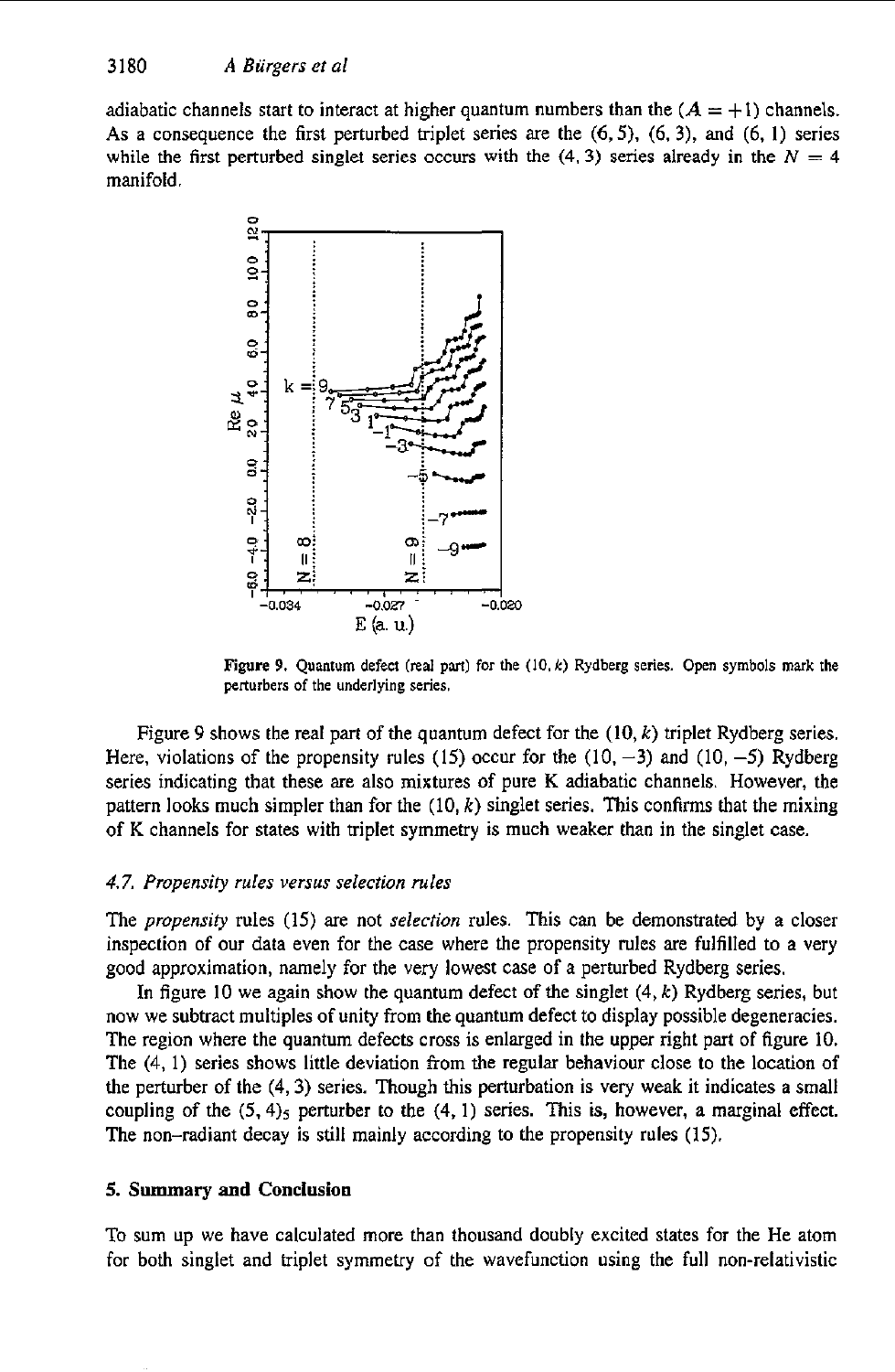adiabatic channels start to interact at higher quantum numbers than the  $(A = +1)$  channels. **As** a consequence the first perturbed triplet series are the (6,5), (6. **3),** and (6, 1) series while the first perturbed singlet series occurs with the  $(4, 3)$  series already in the  $N = 4$ manifold



**Figure 9. Quantum defect (real pm) for** the **(IO.** *k)* **Rydberg series. Open symbols mark the perturbers of the underlying series.** 

Figure 9 shows the **real** part of the quantum defect for the (IO, *k)* triplet Rydberg series. Here, violations of the propensity rules (15) occur for the  $(10, -3)$  and  $(10, -5)$  Rydberg series indicating that these are also mixtures of pure K adiabatic channels. However, the pattern **looks** much simpler than for the **(IO,** *k)* singlet series, This confirms that the mixing of K channels for states with triplet symmetry is much weaker than in the singlet case.

### *4.7. Propensiry rules versus selection rules*

The *propensiv* rules (15) are not *selection* rules. This can be demonstrated by a closer inspection of our data even for the case where the propensity rules are fulfilled to a very good approximation, namely for the very lowest case of a perturbed Rydberg series.

**In** figure 10 we again show the quantum defect **of** the singlet **(4,** *k)* Rydberg series, but now we subtract multiples of unity from the quantum defect to display possible degeneracies. The region where the quantum defects cross is enlarged in the upper right part of figure 10. The **(4,** 1) series shows little deviation from the regular behaviour close to the location of the perturber of the **(4,3)** series. Though this perturbation is very **weak** it indicates a small coupling of the  $(5, 4)$ <sub>5</sub> perturber to the  $(4, 1)$  series. This is, however, a marginal effect. The non-radiant decay **is** still mainly according to the propensity rules (15).

### **5. Summary and Conclusion**

To sum up we have calculated more than thousand doubly excited states for the He atom for both singlet and triplet symmetry of the wavefunction using the full non-relativistic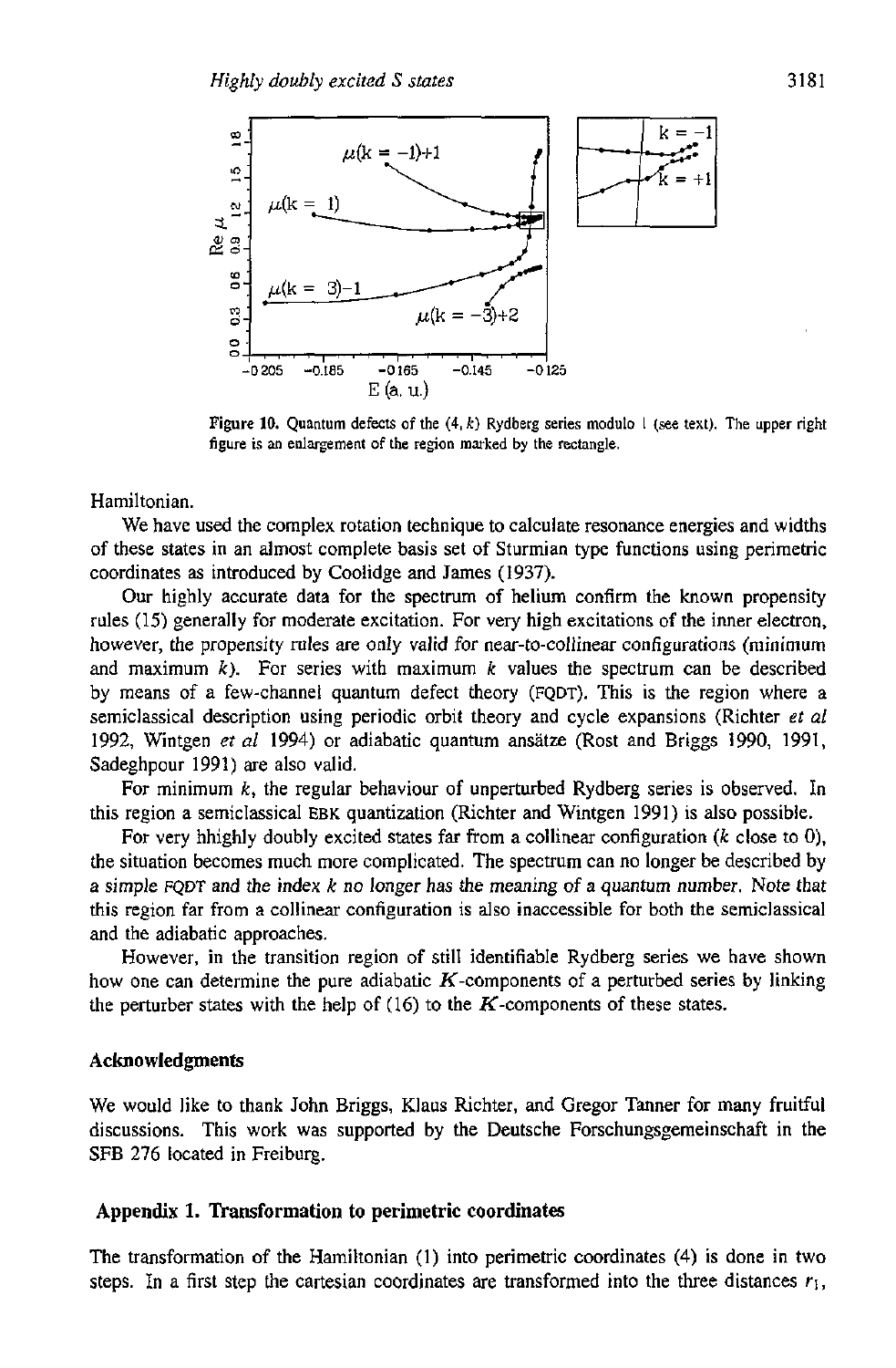

Figure **10.** Quantum defects of the **(4.** *k)* Rydberg series modulo I (see text). The upper right figure is an enlargement of the region marked by the rectangle.

Hamiltonian.

We have used the complex rotation technique to calculate resonance energies and widths of these states in an almost complete basis set of Sturmian type functions using perimetric coordinates **as** introduced by Coolidge and James (1937).

**Our** highly accurate data for the spectrum of helium confirm the known propensity rules (15) generally for moderate excitation. For very high excitations of the inner electron, however, the propensity rules are only valid for near-to-collinear configurations (minimum and maximum  $k$ ). For series with maximum  $k$  values the spectrum can be described by means of a few-channel quantum defect theory (FQDT). This is the region where a semiclassical description using periodic orbit theory and cycle expansions (Richter *et a1*  1992, Wintgen *et al* 1994) *or* adiabatic quantum ansatze (Rost and Briggs 1990, 1991, Sadeghpour 1991) are also valid.

For minimum *k,* the regular behaviour **of** unperturbed Rydberg series is observed. In this region a semiclassical **EBK** quantization (Richter and Wintgen 1991) is also possible.

For very hhighly doubly excited states far from a collinear configuration *(k* close to O), the situation becomes much more complicated. The spectrum can no longer be described by a simple FQDT and the index *k no* longer has the meaning *of* a quantum number. Note that this region far from a collinear configuration is also inaccessible for both the semiclassical and the adiabatic approaches.

However, in the transition region of still identifiable Rydberg series we have shown how one can determine the pure adiabatic  $K$ -components of a perturbed series by linking the perturber states with the help of  $(16)$  to the K-components of these states.

### **Acknowledgments**

We would like to thank John Briggs, Klaus Richter, and Gregor Tanner for many fruitful discussions. This work was supported by the Deutsche Forschungsgemeinschaft in the SFB 276 located in Freiburg.

### **Appendix 1. Transformation to perimetric coordinates**

The transformation of the Hamiltonian (I) into perimetric coordinates **(4)** is done in two steps. In a first step the cartesian coordinates are transformed into the three distances  $r_1$ ,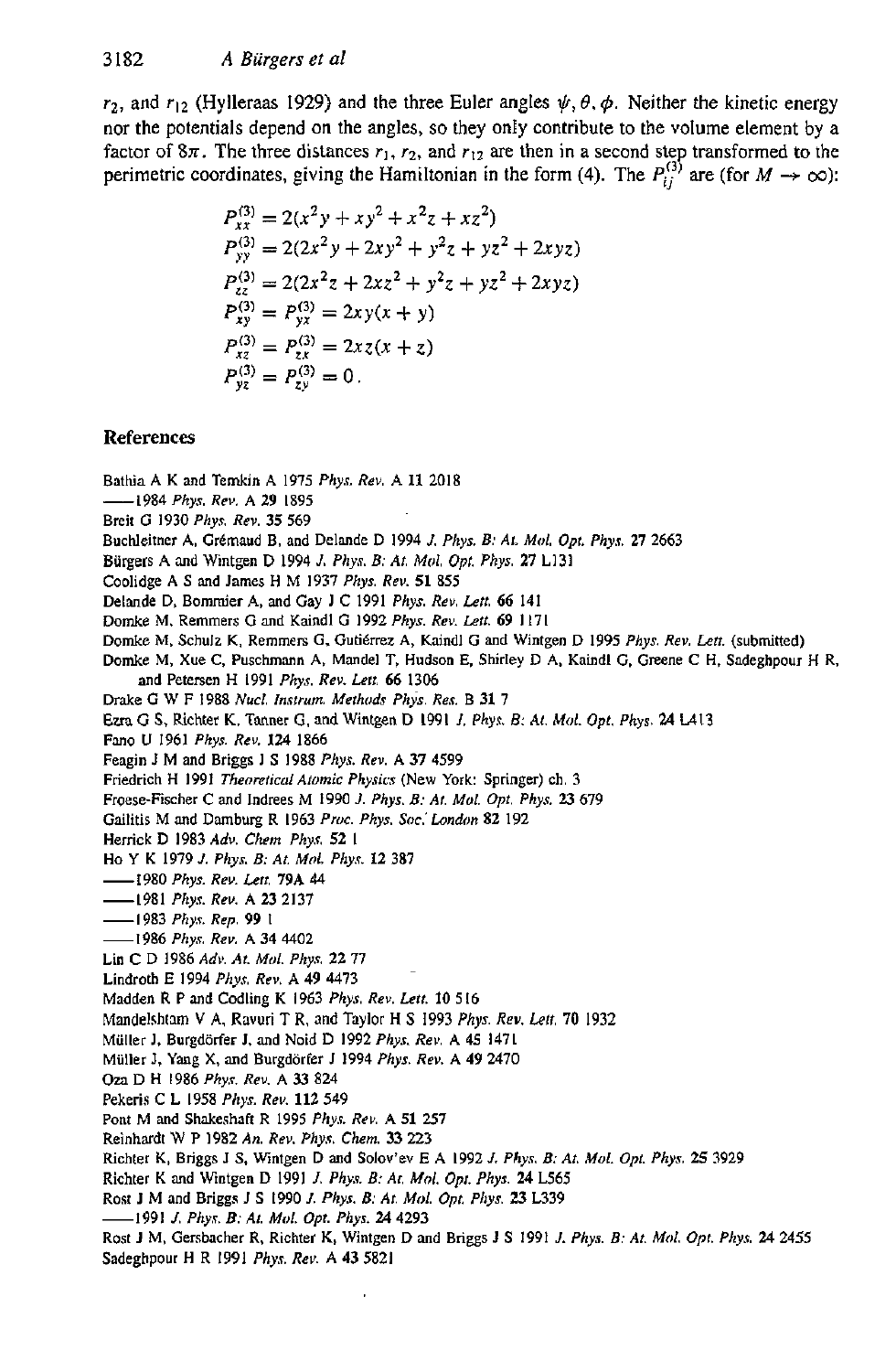$r_2$ , and  $r_{12}$  (Hylleraas 1929) and the three Euler angles  $\psi$ ,  $\theta$ ,  $\phi$ . Neither the kinetic energy nor the potentials depend on the angles, so they **only** contribute to the volume element by **a**  factor of  $8\pi$ . The three distances  $r_1$ ,  $r_2$ , and  $r_{12}$  are then in a second step transformed to the perimetric coordinates, giving the Hamiltonian in the form (4). The  $P_{ij}^{(3)}$  are (for  $M \rightarrow \infty$ ):

$$
P_{xx}^{(3)} = 2(x^2y + xy^2 + x^2z + xz^2)
$$
  
\n
$$
P_{yy}^{(3)} = 2(2x^2y + 2xy^2 + y^2z + yz^2 + 2xyz)
$$
  
\n
$$
P_{zz}^{(3)} = 2(2x^2z + 2xz^2 + y^2z + yz^2 + 2xyz)
$$
  
\n
$$
P_{xy}^{(3)} = P_{yx}^{(3)} = 2xy(x + y)
$$
  
\n
$$
P_{xz}^{(3)} = P_{zx}^{(3)} = 2xz(x + z)
$$
  
\n
$$
P_{yz}^{(3)} = P_{zy}^{(3)} = 0.
$$

# **References**

Bathia **A** K and Temkin **A** 1975 *Phys. Rev.* **A 11** 2018 -1984 *Phys. Rev.* **A 29** 1895 Breit **G** 1930 *Phy.7, Rev.* 35 569 Buchleitner A, Grémaud B, and Delande D 1994 *J. Phys. B: At. Mol. Opt. Phys.* 27 2663 **Biirgers A and** Wintgen D 1994 *J. Phys. B: At. Mol, Opf. Phys. 27* L131 Coolidge **A S** and **James** H M 1937 *Phys.* Rev. **51** 855 Delande D. Bommier **A,** and Gay J C 1991 *Phys.* Rev. Lett. *66* 141 Domke M. Remmers G and Kaindl G 1992 Phys. Rev. Lett. 69 1171 Domke M. Schulz K, Remmers G, Gutiérrez A, Kaindl G and Wintgen D 1995 *Phys. Rev. Lett.* (submitted) Domke M, **Xue** *C,* Puschmann **A,** Mandel **T, Hudson** E. Shirley D **A,** Kaindl **G. Greene** C H. **Sadeghpour** H R. Dr&e G **W** F 1988 *Nuel. Instrum. Methods Phis.* Res. B 31 7 Em G **S,** Richter **K. Tanner G.** and **Wintgen** D 1991 *1, Phys. 8: AI. Mol. Opt. Phys. 24* U13 Fano **U** 1961 *Phys* Rev. **124** 1866 Fengin **I M** and Briggs **1 S** 1988 *Phys. Rev.* **A** 37 4599 Friedrich H 1991 *Theoretical Atomic Physics* (New York: Springer) ch. 3 Froese-Fischer C and lndrees M 1990 *1. Phys. B: At. Mol. Opt, Phyr. 23* 679 Gailitis M and **Damburg** R 1963 *Pm. Phys. Soc.'Lundon* **82** 192 Herrick D 1983 *Ad". Chem Phyn* **52** <sup>I</sup> Ho Y K 1979 *J. Phys B: At. Mol. Phy.* 12 387 -1980 *Phys. Rev. Len* **79A** 44 -1981 *Phyr. Rev.* **A** *23* 2137 -I 983 *Phyr. Rep.* **99 <sup>I</sup>** -1986 *Phys. Rev.* **A 34** 4402 Lin C D 1986 *Adr. At. Mol. Phys* **22** 77 Lindroth **E** 1994 *Phy.r. Rev.* **A 49** 4413 Madden R **P** and Codling K 1963 *Phys. Rev. Lett.* **10** 5 16 Mandelshlam **V A, Ravuri** T **R.** and Taylor H **S** 1993 *Phys. Rev. Lelt. 70* 1932 Mdller **1.** Burgdiirfer J. and Noid D 1992 *Phy.r. Rei,.* **A 45** 1471 Miiller J. Yang **X,** and Burgdiirfer J 1994 *Phys. Rev.* **A 49** 2470 *Ora* D H 1986 *Phys. Rev.* **A** *33* 824 **Pekeris C L 1958 Phys. Rev. 112 549 Pont** M and **SMeshnft** R 1995 *Phys. Rev.* **A 51 257**  Reinhardt W P 1982 *An. Rev. Phys. Chem.* 33 223 Richter K. Briggs I **S.** Wintgen D and Solov'ev **E A** 1992 *J. Phys. B: At. MO!. Opt. Phys.* **25** 3929 Richter **K** and **Wxntgen** D 1991 *J, Phy. B: At, Mol, Opt. Phys. 24* L565 Rost **J** M and Briggs J *S* 1990 *J. Phys. 8: At. Mol. Opt. Phys. 23* L339 -1991 *J. Phy.r. E: At. Mol. Opt. Phys. 24* 4293 ROS~ **J** M. Gersbacher R. Richter **K,** Wintgen D and Briggs J **S** 1991 *J. Phys. B: At. Mid* Opt. *Phy.s 24* 2455 Sadeghpour H R 1991 *Phy.7. Rev.* **A 43** 5821 and Peters.cn H 1991 *Phys. Rev. Lett 66* **1306**